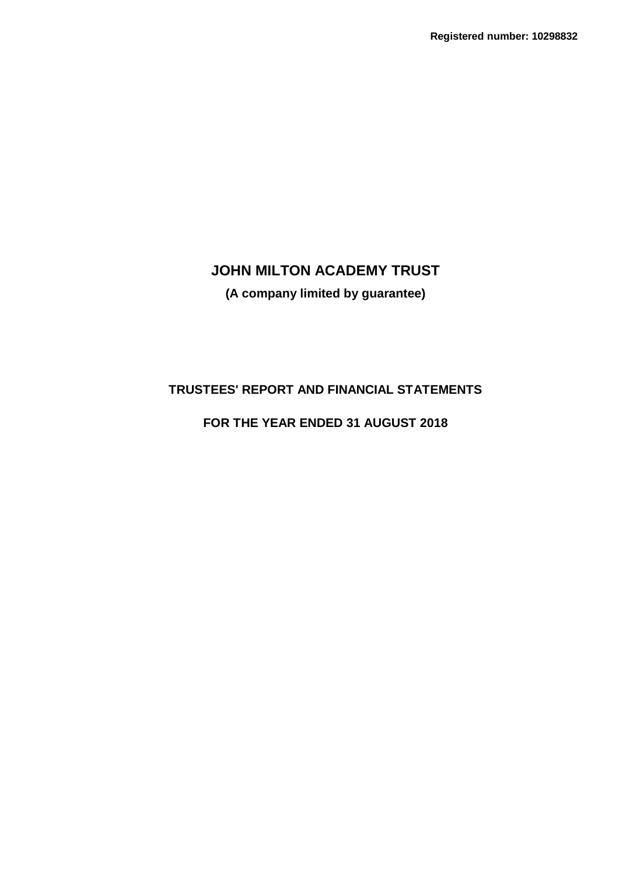**(A company limited by guarantee)**

# **TRUSTEES' REPORT AND FINANCIAL STATEMENTS**

# **FOR THE YEAR ENDED 31 AUGUST 2018**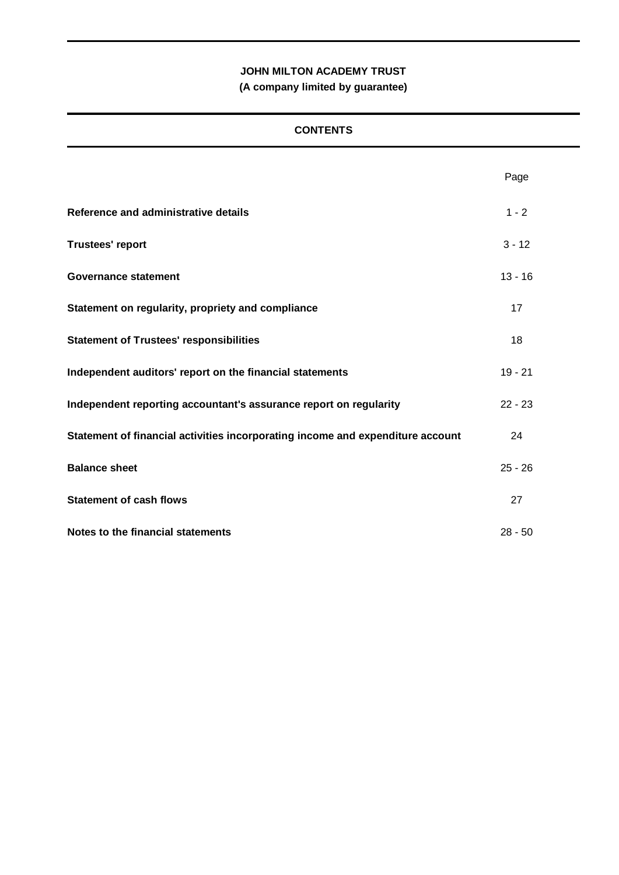**(A company limited by guarantee)**

## **CONTENTS**

|                                                                                | Page      |
|--------------------------------------------------------------------------------|-----------|
| Reference and administrative details                                           | $1 - 2$   |
| <b>Trustees' report</b>                                                        | $3 - 12$  |
| <b>Governance statement</b>                                                    | $13 - 16$ |
| Statement on regularity, propriety and compliance                              | 17        |
| <b>Statement of Trustees' responsibilities</b>                                 | 18        |
| Independent auditors' report on the financial statements                       | $19 - 21$ |
| Independent reporting accountant's assurance report on regularity              | $22 - 23$ |
| Statement of financial activities incorporating income and expenditure account | 24        |
| <b>Balance sheet</b>                                                           | $25 - 26$ |
| <b>Statement of cash flows</b>                                                 | 27        |
| Notes to the financial statements                                              | $28 - 50$ |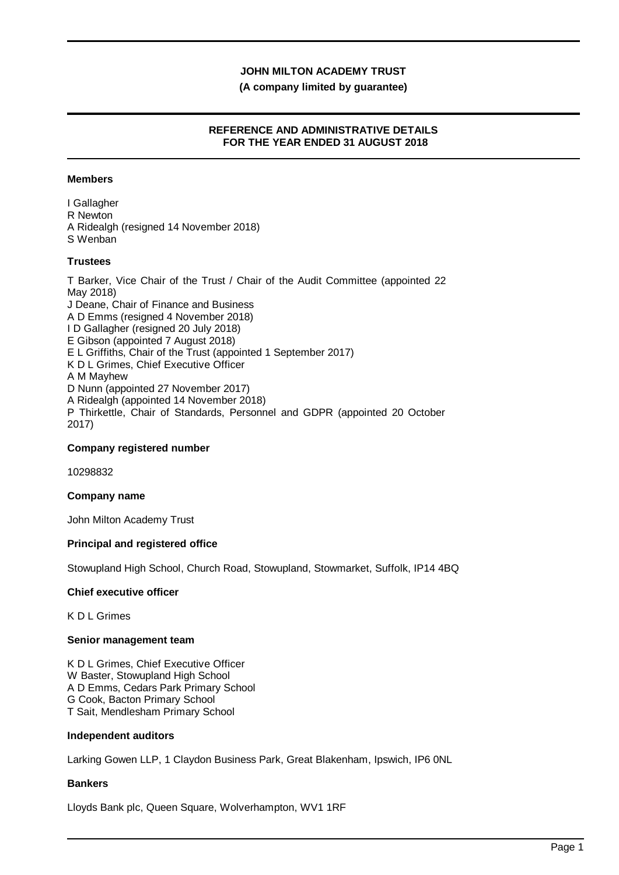#### **(A company limited by guarantee)**

## **REFERENCE AND ADMINISTRATIVE DETAILS FOR THE YEAR ENDED 31 AUGUST 2018**

#### **Members**

I Gallagher R Newton A Ridealgh (resigned 14 November 2018) S Wenban

#### **Trustees**

T Barker, Vice Chair of the Trust / Chair of the Audit Committee (appointed 22 May 2018) J Deane, Chair of Finance and Business A D Emms (resigned 4 November 2018) I D Gallagher (resigned 20 July 2018) E Gibson (appointed 7 August 2018) E L Griffiths, Chair of the Trust (appointed 1 September 2017) K D L Grimes, Chief Executive Officer A M Mayhew D Nunn (appointed 27 November 2017) A Ridealgh (appointed 14 November 2018) P Thirkettle, Chair of Standards, Personnel and GDPR (appointed 20 October 2017)

#### **Company registered number**

10298832

#### **Company name**

John Milton Academy Trust

#### **Principal and registered office**

Stowupland High School, Church Road, Stowupland, Stowmarket, Suffolk, IP14 4BQ

#### **Chief executive officer**

K D L Grimes

#### **Senior management team**

K D L Grimes, Chief Executive Officer W Baster, Stowupland High School A D Emms, Cedars Park Primary School G Cook, Bacton Primary School T Sait, Mendlesham Primary School

#### **Independent auditors**

Larking Gowen LLP, 1 Claydon Business Park, Great Blakenham, Ipswich, IP6 0NL

#### **Bankers**

Lloyds Bank plc, Queen Square, Wolverhampton, WV1 1RF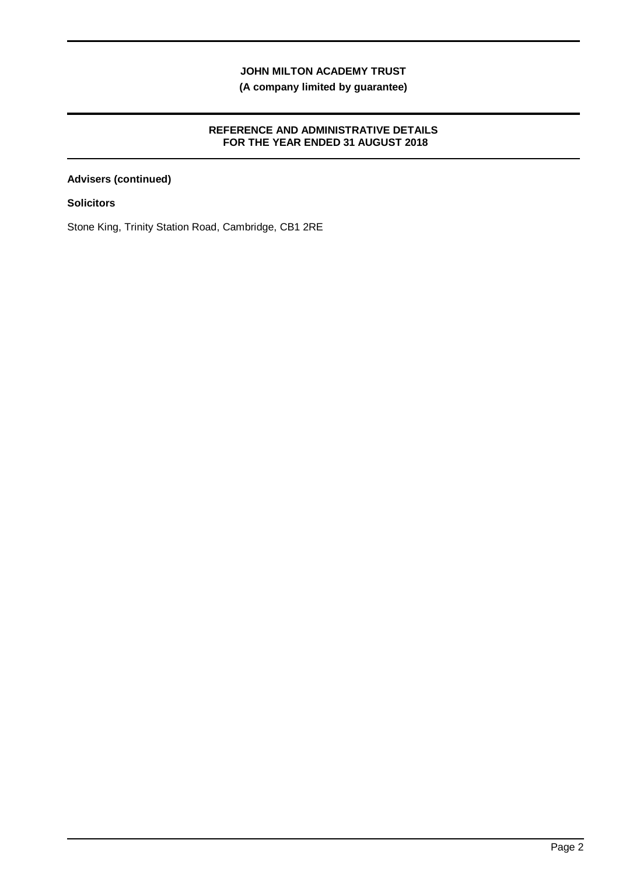**(A company limited by guarantee)**

## **REFERENCE AND ADMINISTRATIVE DETAILS FOR THE YEAR ENDED 31 AUGUST 2018**

## **Advisers (continued)**

**Solicitors**

Stone King, Trinity Station Road, Cambridge, CB1 2RE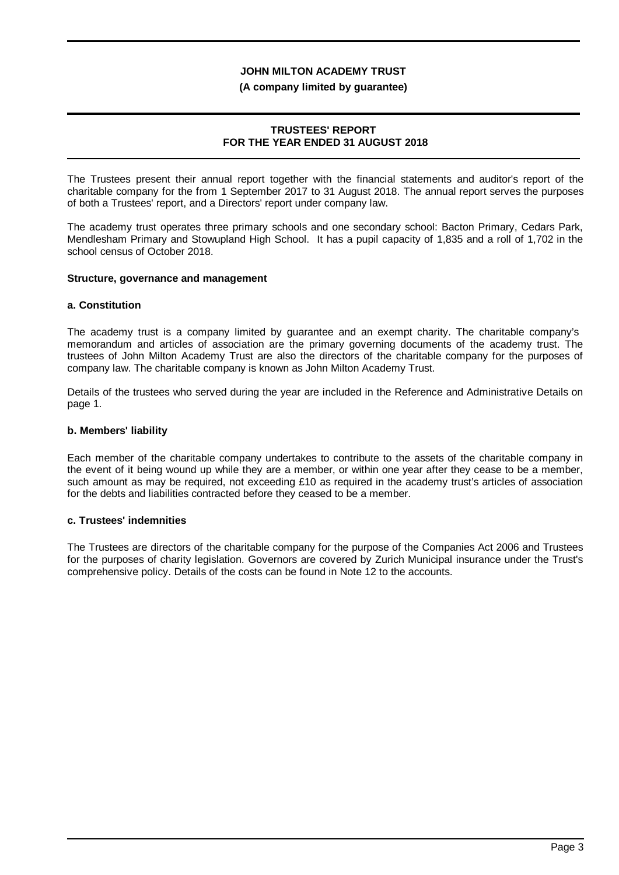#### **(A company limited by guarantee)**

#### **TRUSTEES' REPORT FOR THE YEAR ENDED 31 AUGUST 2018**

The Trustees present their annual report together with the financial statements and auditor's report of the charitable company for the from 1 September 2017 to 31 August 2018. The annual report serves the purposes of both a Trustees' report, and a Directors' report under company law.

The academy trust operates three primary schools and one secondary school: Bacton Primary, Cedars Park, Mendlesham Primary and Stowupland High School. It has a pupil capacity of 1,835 and a roll of 1,702 in the school census of October 2018.

#### **Structure, governance and management**

#### **a. Constitution**

The academy trust is a company limited by guarantee and an exempt charity. The charitable company's memorandum and articles of association are the primary governing documents of the academy trust. The trustees of John Milton Academy Trust are also the directors of the charitable company for the purposes of company law. The charitable company is known as John Milton Academy Trust.

Details of the trustees who served during the year are included in the Reference and Administrative Details on page 1.

#### **b. Members' liability**

Each member of the charitable company undertakes to contribute to the assets of the charitable company in the event of it being wound up while they are a member, or within one year after they cease to be a member, such amount as may be required, not exceeding £10 as required in the academy trust's articles of association for the debts and liabilities contracted before they ceased to be a member.

#### **c. Trustees' indemnities**

The Trustees are directors of the charitable company for the purpose of the Companies Act 2006 and Trustees for the purposes of charity legislation. Governors are covered by Zurich Municipal insurance under the Trust's comprehensive policy. Details of the costs can be found in Note 12 to the accounts.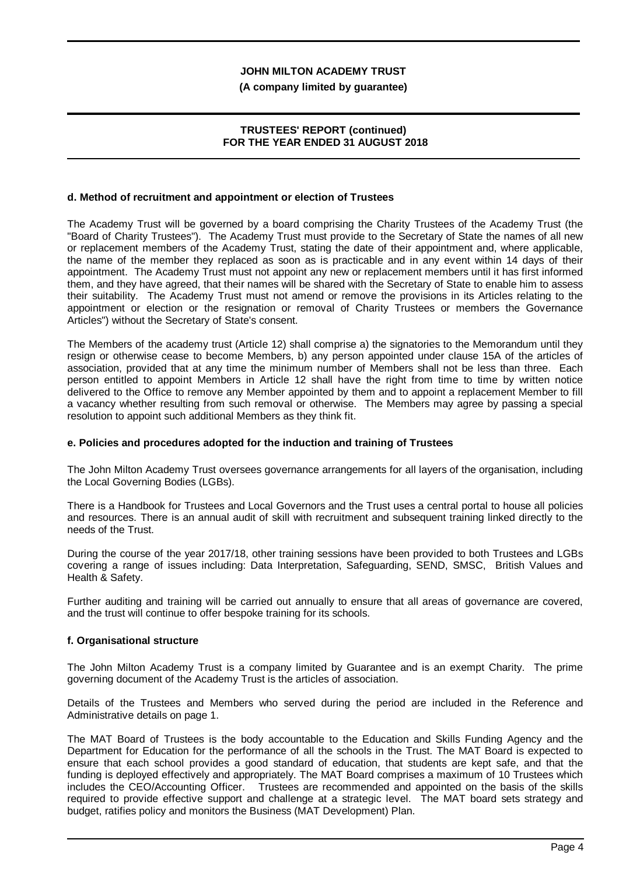#### **(A company limited by guarantee)**

#### **TRUSTEES' REPORT (continued) FOR THE YEAR ENDED 31 AUGUST 2018**

#### **d. Method of recruitment and appointment or election of Trustees**

The Academy Trust will be governed by a board comprising the Charity Trustees of the Academy Trust (the "Board of Charity Trustees"). The Academy Trust must provide to the Secretary of State the names of all new or replacement members of the Academy Trust, stating the date of their appointment and, where applicable, the name of the member they replaced as soon as is practicable and in any event within 14 days of their appointment. The Academy Trust must not appoint any new or replacement members until it has first informed them, and they have agreed, that their names will be shared with the Secretary of State to enable him to assess their suitability. The Academy Trust must not amend or remove the provisions in its Articles relating to the appointment or election or the resignation or removal of Charity Trustees or members the Governance Articles") without the Secretary of State's consent.

The Members of the academy trust (Article 12) shall comprise a) the signatories to the Memorandum until they resign or otherwise cease to become Members, b) any person appointed under clause 15A of the articles of association, provided that at any time the minimum number of Members shall not be less than three. Each person entitled to appoint Members in Article 12 shall have the right from time to time by written notice delivered to the Office to remove any Member appointed by them and to appoint a replacement Member to fill a vacancy whether resulting from such removal or otherwise. The Members may agree by passing a special resolution to appoint such additional Members as they think fit.

#### **e. Policies and procedures adopted for the induction and training of Trustees**

The John Milton Academy Trust oversees governance arrangements for all layers of the organisation, including the Local Governing Bodies (LGBs).

There is a Handbook for Trustees and Local Governors and the Trust uses a central portal to house all policies and resources. There is an annual audit of skill with recruitment and subsequent training linked directly to the needs of the Trust.

During the course of the year 2017/18, other training sessions have been provided to both Trustees and LGBs covering a range of issues including: Data Interpretation, Safeguarding, SEND, SMSC, British Values and Health & Safety.

Further auditing and training will be carried out annually to ensure that all areas of governance are covered, and the trust will continue to offer bespoke training for its schools.

#### **f. Organisational structure**

The John Milton Academy Trust is a company limited by Guarantee and is an exempt Charity. The prime governing document of the Academy Trust is the articles of association.

Details of the Trustees and Members who served during the period are included in the Reference and Administrative details on page 1.

The MAT Board of Trustees is the body accountable to the Education and Skills Funding Agency and the Department for Education for the performance of all the schools in the Trust. The MAT Board is expected to ensure that each school provides a good standard of education, that students are kept safe, and that the funding is deployed effectively and appropriately. The MAT Board comprises a maximum of 10 Trustees which includes the CEO/Accounting Officer. Trustees are recommended and appointed on the basis of the skills required to provide effective support and challenge at a strategic level. The MAT board sets strategy and budget, ratifies policy and monitors the Business (MAT Development) Plan.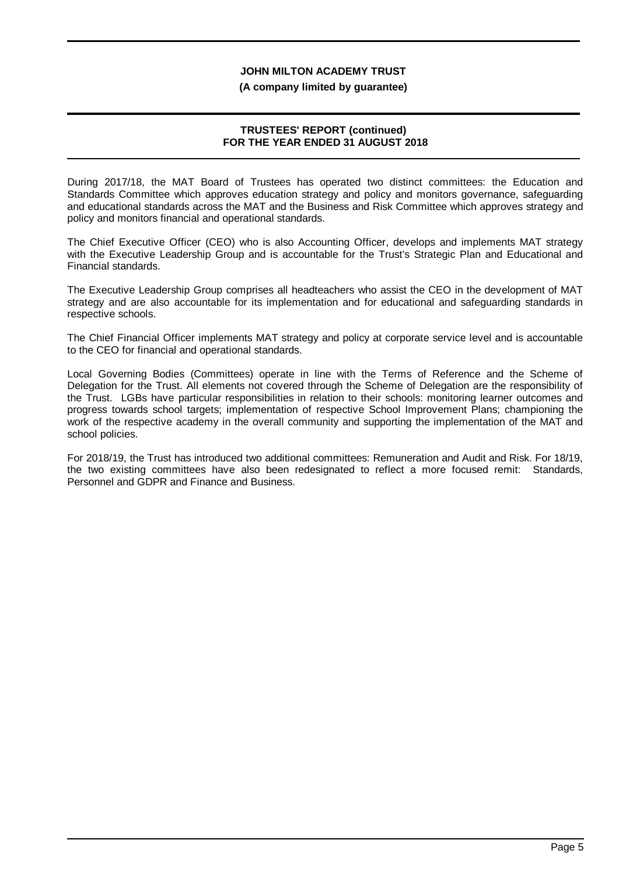#### **(A company limited by guarantee)**

#### **TRUSTEES' REPORT (continued) FOR THE YEAR ENDED 31 AUGUST 2018**

During 2017/18, the MAT Board of Trustees has operated two distinct committees: the Education and Standards Committee which approves education strategy and policy and monitors governance, safeguarding and educational standards across the MAT and the Business and Risk Committee which approves strategy and policy and monitors financial and operational standards.

The Chief Executive Officer (CEO) who is also Accounting Officer, develops and implements MAT strategy with the Executive Leadership Group and is accountable for the Trust's Strategic Plan and Educational and Financial standards.

The Executive Leadership Group comprises all headteachers who assist the CEO in the development of MAT strategy and are also accountable for its implementation and for educational and safeguarding standards in respective schools.

The Chief Financial Officer implements MAT strategy and policy at corporate service level and is accountable to the CEO for financial and operational standards.

Local Governing Bodies (Committees) operate in line with the Terms of Reference and the Scheme of Delegation for the Trust. All elements not covered through the Scheme of Delegation are the responsibility of the Trust. LGBs have particular responsibilities in relation to their schools: monitoring learner outcomes and progress towards school targets; implementation of respective School Improvement Plans; championing the work of the respective academy in the overall community and supporting the implementation of the MAT and school policies.

For 2018/19, the Trust has introduced two additional committees: Remuneration and Audit and Risk. For 18/19, the two existing committees have also been redesignated to reflect a more focused remit: Standards, Personnel and GDPR and Finance and Business.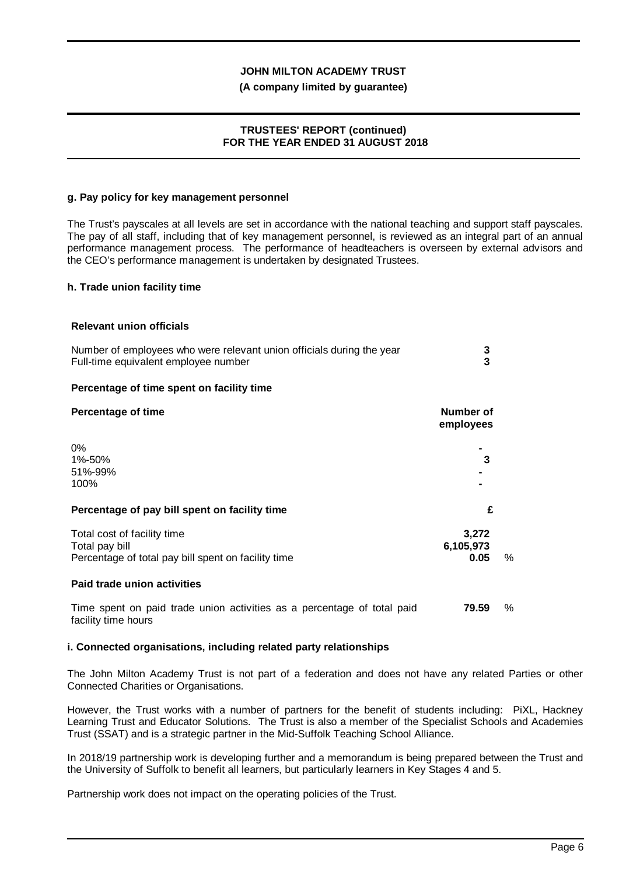#### **(A company limited by guarantee)**

#### **TRUSTEES' REPORT (continued) FOR THE YEAR ENDED 31 AUGUST 2018**

#### **g. Pay policy for key management personnel**

The Trust's payscales at all levels are set in accordance with the national teaching and support staff payscales. The pay of all staff, including that of key management personnel, is reviewed as an integral part of an annual performance management process. The performance of headteachers is overseen by external advisors and the CEO's performance management is undertaken by designated Trustees.

#### **h. Trade union facility time**

#### **Relevant union officials**

| Number of employees who were relevant union officials during the year<br>Full-time equivalent employee number | 3<br>3                     |   |
|---------------------------------------------------------------------------------------------------------------|----------------------------|---|
| Percentage of time spent on facility time                                                                     |                            |   |
| <b>Percentage of time</b>                                                                                     | Number of<br>employees     |   |
| 0%<br>1%-50%<br>51%-99%<br>100%                                                                               | 3                          |   |
| Percentage of pay bill spent on facility time                                                                 | £                          |   |
| Total cost of facility time<br>Total pay bill<br>Percentage of total pay bill spent on facility time          | 3,272<br>6,105,973<br>0.05 | % |
| Paid trade union activities                                                                                   |                            |   |
| Time spent on paid trade union activities as a percentage of total paid<br>facility time hours                | 79.59                      | % |

#### **i. Connected organisations, including related party relationships**

The John Milton Academy Trust is not part of a federation and does not have any related Parties or other Connected Charities or Organisations.

However, the Trust works with a number of partners for the benefit of students including: PiXL, Hackney Learning Trust and Educator Solutions. The Trust is also a member of the Specialist Schools and Academies Trust (SSAT) and is a strategic partner in the Mid-Suffolk Teaching School Alliance.

In 2018/19 partnership work is developing further and a memorandum is being prepared between the Trust and the University of Suffolk to benefit all learners, but particularly learners in Key Stages 4 and 5.

Partnership work does not impact on the operating policies of the Trust.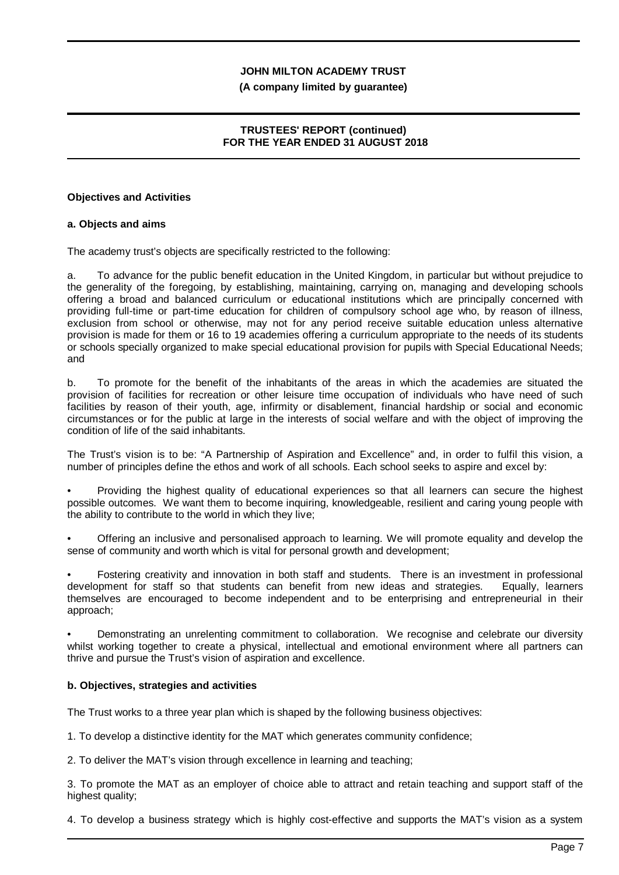#### **(A company limited by guarantee)**

### **TRUSTEES' REPORT (continued) FOR THE YEAR ENDED 31 AUGUST 2018**

#### **Objectives and Activities**

#### **a. Objects and aims**

The academy trust's objects are specifically restricted to the following:

a. To advance for the public benefit education in the United Kingdom, in particular but without prejudice to the generality of the foregoing, by establishing, maintaining, carrying on, managing and developing schools offering a broad and balanced curriculum or educational institutions which are principally concerned with providing full-time or part-time education for children of compulsory school age who, by reason of illness, exclusion from school or otherwise, may not for any period receive suitable education unless alternative provision is made for them or 16 to 19 academies offering a curriculum appropriate to the needs of its students or schools specially organized to make special educational provision for pupils with Special Educational Needs; and

b. To promote for the benefit of the inhabitants of the areas in which the academies are situated the provision of facilities for recreation or other leisure time occupation of individuals who have need of such facilities by reason of their youth, age, infirmity or disablement, financial hardship or social and economic circumstances or for the public at large in the interests of social welfare and with the object of improving the condition of life of the said inhabitants.

The Trust's vision is to be: "A Partnership of Aspiration and Excellence" and, in order to fulfil this vision, a number of principles define the ethos and work of all schools. Each school seeks to aspire and excel by:

• Providing the highest quality of educational experiences so that all learners can secure the highest possible outcomes. We want them to become inquiring, knowledgeable, resilient and caring young people with the ability to contribute to the world in which they live;

• Offering an inclusive and personalised approach to learning. We will promote equality and develop the sense of community and worth which is vital for personal growth and development;

• Fostering creativity and innovation in both staff and students. There is an investment in professional development for staff so that students can benefit from new ideas and strategies. Equally, learners themselves are encouraged to become independent and to be enterprising and entrepreneurial in their approach;

• Demonstrating an unrelenting commitment to collaboration. We recognise and celebrate our diversity whilst working together to create a physical, intellectual and emotional environment where all partners can thrive and pursue the Trust's vision of aspiration and excellence.

#### **b. Objectives, strategies and activities**

The Trust works to a three year plan which is shaped by the following business objectives:

1. To develop a distinctive identity for the MAT which generates community confidence;

2. To deliver the MAT's vision through excellence in learning and teaching;

3. To promote the MAT as an employer of choice able to attract and retain teaching and support staff of the highest quality;

4. To develop a business strategy which is highly cost-effective and supports the MAT's vision as a system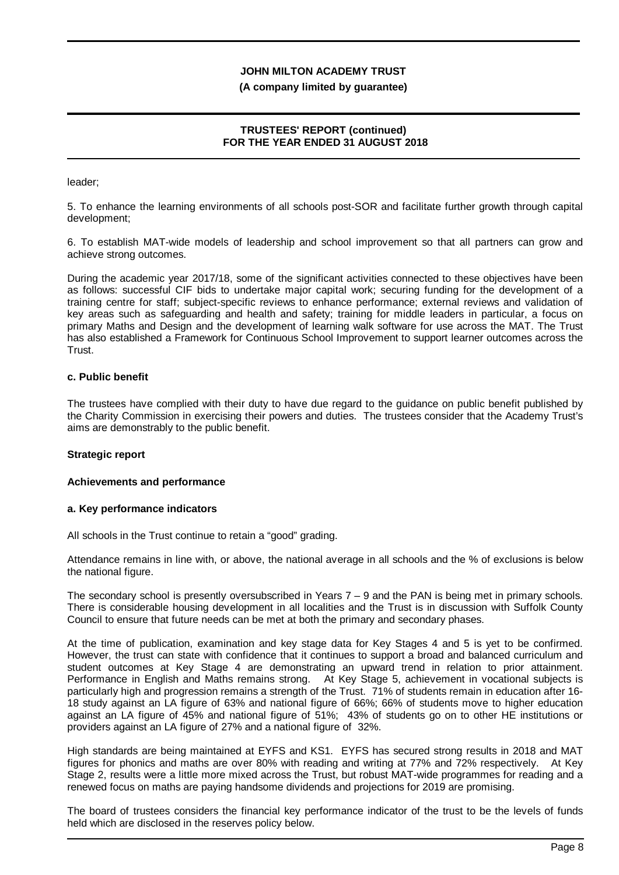#### **(A company limited by guarantee)**

### **TRUSTEES' REPORT (continued) FOR THE YEAR ENDED 31 AUGUST 2018**

leader;

5. To enhance the learning environments of all schools post-SOR and facilitate further growth through capital development;

6. To establish MAT-wide models of leadership and school improvement so that all partners can grow and achieve strong outcomes.

During the academic year 2017/18, some of the significant activities connected to these objectives have been as follows: successful CIF bids to undertake major capital work; securing funding for the development of a training centre for staff; subject-specific reviews to enhance performance; external reviews and validation of key areas such as safeguarding and health and safety; training for middle leaders in particular, a focus on primary Maths and Design and the development of learning walk software for use across the MAT. The Trust has also established a Framework for Continuous School Improvement to support learner outcomes across the **Trust.** 

#### **c. Public benefit**

The trustees have complied with their duty to have due regard to the guidance on public benefit published by the Charity Commission in exercising their powers and duties. The trustees consider that the Academy Trust's aims are demonstrably to the public benefit.

#### **Strategic report**

#### **Achievements and performance**

#### **a. Key performance indicators**

All schools in the Trust continue to retain a "good" grading.

Attendance remains in line with, or above, the national average in all schools and the % of exclusions is below the national figure.

The secondary school is presently oversubscribed in Years 7 – 9 and the PAN is being met in primary schools. There is considerable housing development in all localities and the Trust is in discussion with Suffolk County Council to ensure that future needs can be met at both the primary and secondary phases.

At the time of publication, examination and key stage data for Key Stages 4 and 5 is yet to be confirmed. However, the trust can state with confidence that it continues to support a broad and balanced curriculum and student outcomes at Key Stage 4 are demonstrating an upward trend in relation to prior attainment. Performance in English and Maths remains strong. At Key Stage 5, achievement in vocational subjects is particularly high and progression remains a strength of the Trust. 71% of students remain in education after 16- 18 study against an LA figure of 63% and national figure of 66%; 66% of students move to higher education against an LA figure of 45% and national figure of 51%; 43% of students go on to other HE institutions or providers against an LA figure of 27% and a national figure of 32%.

High standards are being maintained at EYFS and KS1. EYFS has secured strong results in 2018 and MAT figures for phonics and maths are over 80% with reading and writing at 77% and 72% respectively. At Key Stage 2, results were a little more mixed across the Trust, but robust MAT-wide programmes for reading and a renewed focus on maths are paying handsome dividends and projections for 2019 are promising.

The board of trustees considers the financial key performance indicator of the trust to be the levels of funds held which are disclosed in the reserves policy below.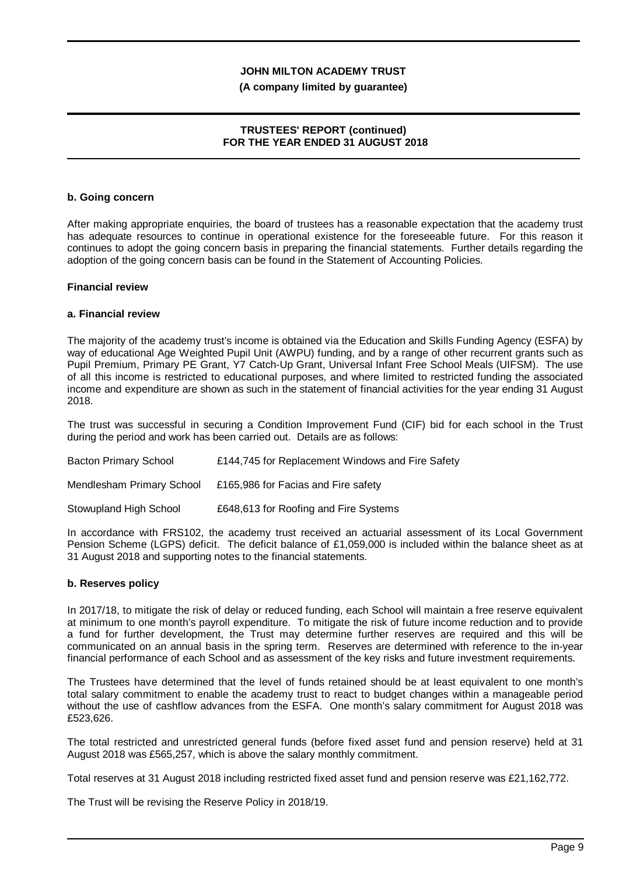#### **(A company limited by guarantee)**

### **TRUSTEES' REPORT (continued) FOR THE YEAR ENDED 31 AUGUST 2018**

#### **b. Going concern**

After making appropriate enquiries, the board of trustees has a reasonable expectation that the academy trust has adequate resources to continue in operational existence for the foreseeable future. For this reason it continues to adopt the going concern basis in preparing the financial statements. Further details regarding the adoption of the going concern basis can be found in the Statement of Accounting Policies.

#### **Financial review**

#### **a. Financial review**

The majority of the academy trust's income is obtained via the Education and Skills Funding Agency (ESFA) by way of educational Age Weighted Pupil Unit (AWPU) funding, and by a range of other recurrent grants such as Pupil Premium, Primary PE Grant, Y7 Catch-Up Grant, Universal Infant Free School Meals (UIFSM). The use of all this income is restricted to educational purposes, and where limited to restricted funding the associated income and expenditure are shown as such in the statement of financial activities for the year ending 31 August 2018.

The trust was successful in securing a Condition Improvement Fund (CIF) bid for each school in the Trust during the period and work has been carried out. Details are as follows:

| Bacton Primary School     | £144,745 for Replacement Windows and Fire Safety |
|---------------------------|--------------------------------------------------|
| Mendlesham Primary School | £165,986 for Facias and Fire safety              |
| Stowupland High School    | £648,613 for Roofing and Fire Systems            |

In accordance with FRS102, the academy trust received an actuarial assessment of its Local Government Pension Scheme (LGPS) deficit. The deficit balance of £1,059,000 is included within the balance sheet as at 31 August 2018 and supporting notes to the financial statements.

#### **b. Reserves policy**

In 2017/18, to mitigate the risk of delay or reduced funding, each School will maintain a free reserve equivalent at minimum to one month's payroll expenditure. To mitigate the risk of future income reduction and to provide a fund for further development, the Trust may determine further reserves are required and this will be communicated on an annual basis in the spring term. Reserves are determined with reference to the in-year financial performance of each School and as assessment of the key risks and future investment requirements.

The Trustees have determined that the level of funds retained should be at least equivalent to one month's total salary commitment to enable the academy trust to react to budget changes within a manageable period without the use of cashflow advances from the ESFA. One month's salary commitment for August 2018 was £523,626.

The total restricted and unrestricted general funds (before fixed asset fund and pension reserve) held at 31 August 2018 was £565,257, which is above the salary monthly commitment.

Total reserves at 31 August 2018 including restricted fixed asset fund and pension reserve was £21,162,772.

The Trust will be revising the Reserve Policy in 2018/19.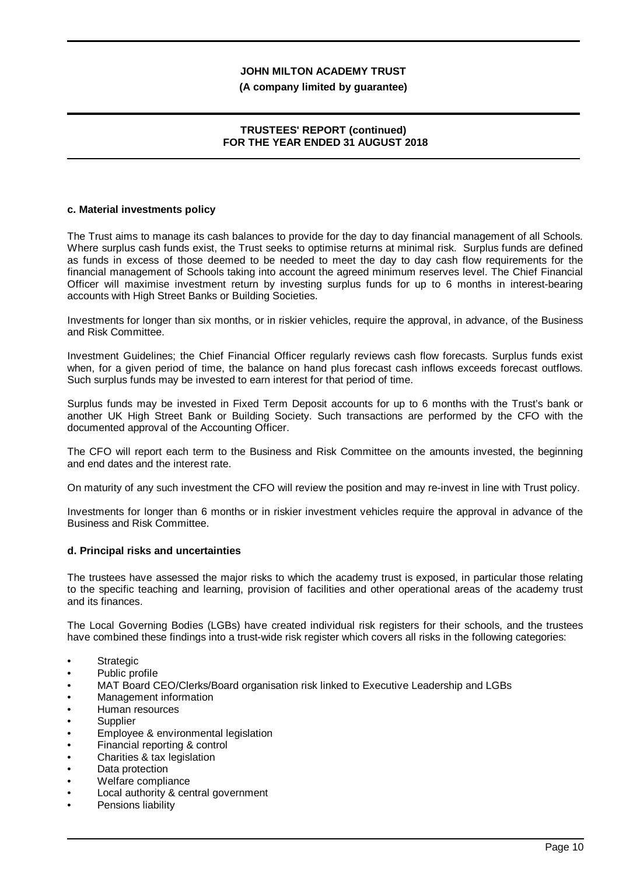#### **(A company limited by guarantee)**

### **TRUSTEES' REPORT (continued) FOR THE YEAR ENDED 31 AUGUST 2018**

#### **c. Material investments policy**

The Trust aims to manage its cash balances to provide for the day to day financial management of all Schools. Where surplus cash funds exist, the Trust seeks to optimise returns at minimal risk. Surplus funds are defined as funds in excess of those deemed to be needed to meet the day to day cash flow requirements for the financial management of Schools taking into account the agreed minimum reserves level. The Chief Financial Officer will maximise investment return by investing surplus funds for up to 6 months in interest-bearing accounts with High Street Banks or Building Societies.

Investments for longer than six months, or in riskier vehicles, require the approval, in advance, of the Business and Risk Committee.

Investment Guidelines; the Chief Financial Officer regularly reviews cash flow forecasts. Surplus funds exist when, for a given period of time, the balance on hand plus forecast cash inflows exceeds forecast outflows. Such surplus funds may be invested to earn interest for that period of time.

Surplus funds may be invested in Fixed Term Deposit accounts for up to 6 months with the Trust's bank or another UK High Street Bank or Building Society. Such transactions are performed by the CFO with the documented approval of the Accounting Officer.

The CFO will report each term to the Business and Risk Committee on the amounts invested, the beginning and end dates and the interest rate.

On maturity of any such investment the CFO will review the position and may re-invest in line with Trust policy.

Investments for longer than 6 months or in riskier investment vehicles require the approval in advance of the Business and Risk Committee.

#### **d. Principal risks and uncertainties**

The trustees have assessed the major risks to which the academy trust is exposed, in particular those relating to the specific teaching and learning, provision of facilities and other operational areas of the academy trust and its finances.

The Local Governing Bodies (LGBs) have created individual risk registers for their schools, and the trustees have combined these findings into a trust-wide risk register which covers all risks in the following categories:

- **Strategic**
- Public profile
- MAT Board CEO/Clerks/Board organisation risk linked to Executive Leadership and LGBs
- Management information
- Human resources
- **Supplier**
- Employee & environmental legislation
- Financial reporting & control
- Charities & tax legislation
- Data protection
- Welfare compliance
- Local authority & central government
- Pensions liability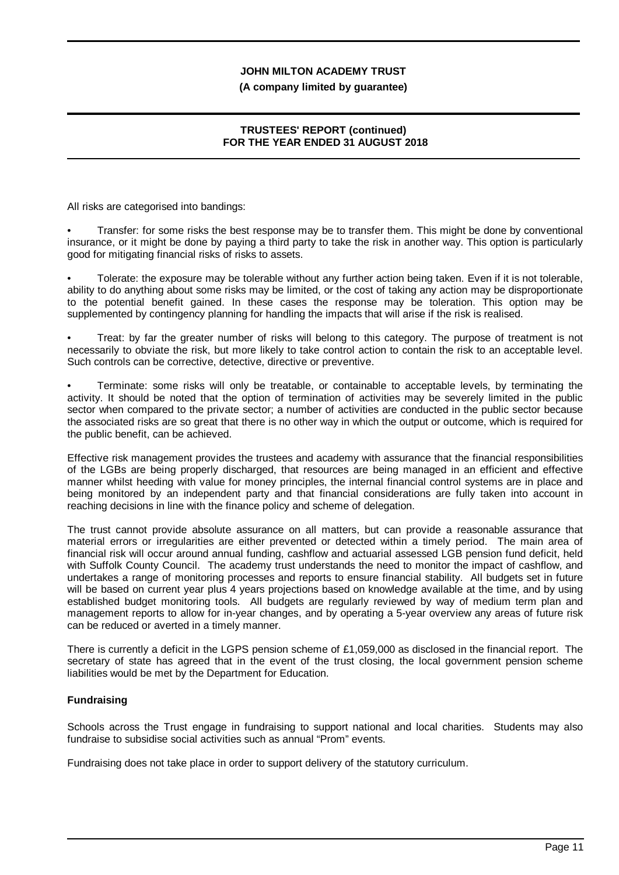#### **(A company limited by guarantee)**

## **TRUSTEES' REPORT (continued) FOR THE YEAR ENDED 31 AUGUST 2018**

All risks are categorised into bandings:

• Transfer: for some risks the best response may be to transfer them. This might be done by conventional insurance, or it might be done by paying a third party to take the risk in another way. This option is particularly good for mitigating financial risks of risks to assets.

• Tolerate: the exposure may be tolerable without any further action being taken. Even if it is not tolerable, ability to do anything about some risks may be limited, or the cost of taking any action may be disproportionate to the potential benefit gained. In these cases the response may be toleration. This option may be supplemented by contingency planning for handling the impacts that will arise if the risk is realised.

• Treat: by far the greater number of risks will belong to this category. The purpose of treatment is not necessarily to obviate the risk, but more likely to take control action to contain the risk to an acceptable level. Such controls can be corrective, detective, directive or preventive.

• Terminate: some risks will only be treatable, or containable to acceptable levels, by terminating the activity. It should be noted that the option of termination of activities may be severely limited in the public sector when compared to the private sector; a number of activities are conducted in the public sector because the associated risks are so great that there is no other way in which the output or outcome, which is required for the public benefit, can be achieved.

Effective risk management provides the trustees and academy with assurance that the financial responsibilities of the LGBs are being properly discharged, that resources are being managed in an efficient and effective manner whilst heeding with value for money principles, the internal financial control systems are in place and being monitored by an independent party and that financial considerations are fully taken into account in reaching decisions in line with the finance policy and scheme of delegation.

The trust cannot provide absolute assurance on all matters, but can provide a reasonable assurance that material errors or irregularities are either prevented or detected within a timely period. The main area of financial risk will occur around annual funding, cashflow and actuarial assessed LGB pension fund deficit, held with Suffolk County Council. The academy trust understands the need to monitor the impact of cashflow, and undertakes a range of monitoring processes and reports to ensure financial stability. All budgets set in future will be based on current year plus 4 years projections based on knowledge available at the time, and by using established budget monitoring tools. All budgets are regularly reviewed by way of medium term plan and management reports to allow for in-year changes, and by operating a 5-year overview any areas of future risk can be reduced or averted in a timely manner.

There is currently a deficit in the LGPS pension scheme of £1,059,000 as disclosed in the financial report. The secretary of state has agreed that in the event of the trust closing, the local government pension scheme liabilities would be met by the Department for Education.

## **Fundraising**

Schools across the Trust engage in fundraising to support national and local charities. Students may also fundraise to subsidise social activities such as annual "Prom" events.

Fundraising does not take place in order to support delivery of the statutory curriculum.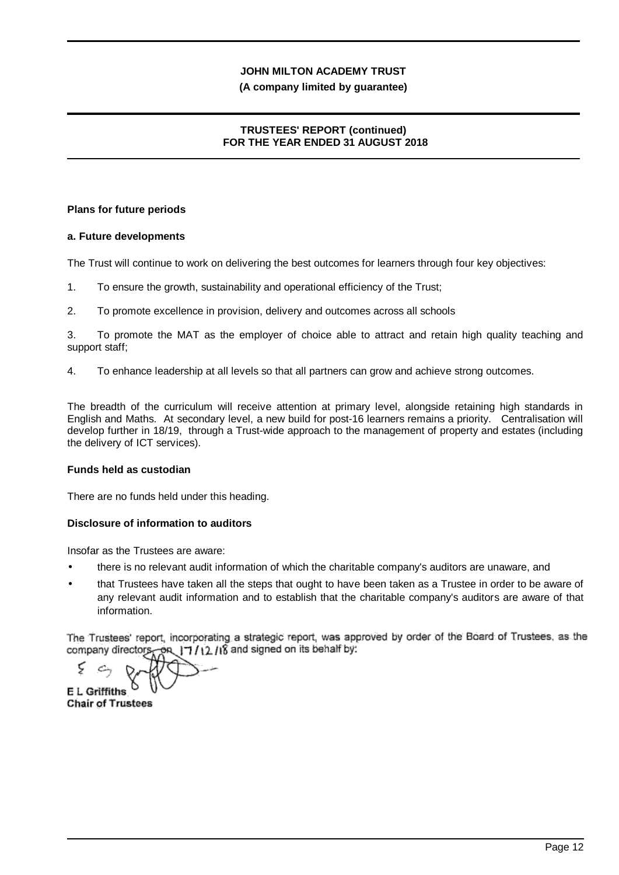#### **(A company limited by guarantee)**

## **TRUSTEES' REPORT (continued) FOR THE YEAR ENDED 31 AUGUST 2018**

#### **Plans for future periods**

## **a. Future developments**

The Trust will continue to work on delivering the best outcomes for learners through four key objectives:

- 1. To ensure the growth, sustainability and operational efficiency of the Trust;
- 2. To promote excellence in provision, delivery and outcomes across all schools

3. To promote the MAT as the employer of choice able to attract and retain high quality teaching and support staff;

4. To enhance leadership at all levels so that all partners can grow and achieve strong outcomes.

The breadth of the curriculum will receive attention at primary level, alongside retaining high standards in English and Maths. At secondary level, a new build for post-16 learners remains a priority. Centralisation will develop further in 18/19, through a Trust-wide approach to the management of property and estates (including the delivery of ICT services).

#### **Funds held as custodian**

There are no funds held under this heading.

## **Disclosure of information to auditors**

Insofar as the Trustees are aware:

- there is no relevant audit information of which the charitable company's auditors are unaware, and
- that Trustees have taken all the steps that ought to have been taken as a Trustee in order to be aware of any relevant audit information and to establish that the charitable company's auditors are aware of that information.

The Trustees' report, incorporating a strategic report, was approved by order of the Board of Trustees, as the company directors, on  $17/12/18$  and signed on its behalf by:

ς **E L Griffiths**

**Chair of Trustees**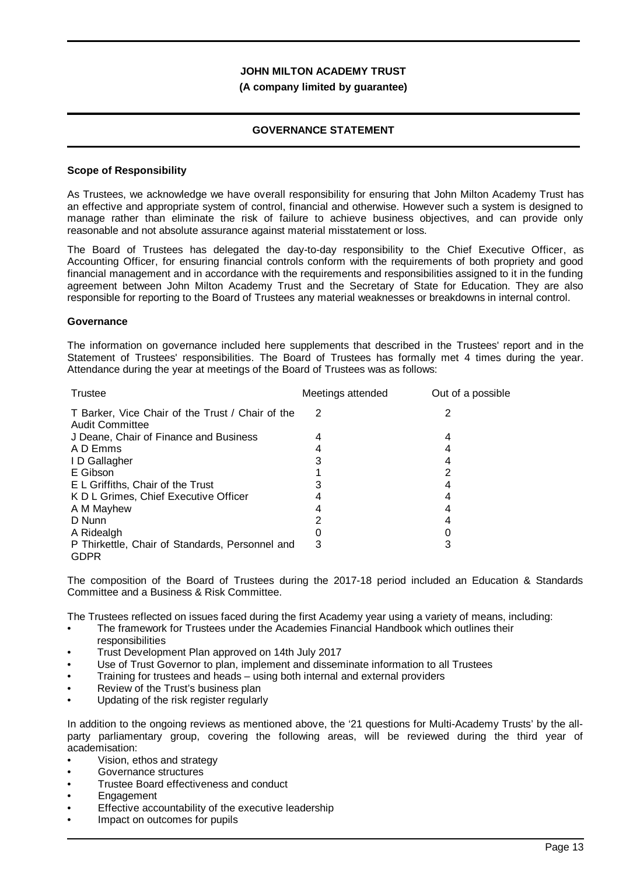#### **(A company limited by guarantee)**

#### **GOVERNANCE STATEMENT**

#### **Scope of Responsibility**

As Trustees, we acknowledge we have overall responsibility for ensuring that John Milton Academy Trust has an effective and appropriate system of control, financial and otherwise. However such a system is designed to manage rather than eliminate the risk of failure to achieve business objectives, and can provide only reasonable and not absolute assurance against material misstatement or loss.

The Board of Trustees has delegated the day-to-day responsibility to the Chief Executive Officer, as Accounting Officer, for ensuring financial controls conform with the requirements of both propriety and good financial management and in accordance with the requirements and responsibilities assigned to it in the funding agreement between John Milton Academy Trust and the Secretary of State for Education. They are also responsible for reporting to the Board of Trustees any material weaknesses or breakdowns in internal control.

#### **Governance**

The information on governance included here supplements that described in the Trustees' report and in the Statement of Trustees' responsibilities. The Board of Trustees has formally met 4 times during the year. Attendance during the year at meetings of the Board of Trustees was as follows:

| Trustee                                                             | Meetings attended | Out of a possible |
|---------------------------------------------------------------------|-------------------|-------------------|
| T Barker, Vice Chair of the Trust / Chair of the<br>Audit Committee | 2                 |                   |
| J Deane, Chair of Finance and Business                              |                   |                   |
| A D Emms                                                            |                   |                   |
| ID Gallagher                                                        |                   |                   |
| E Gibson                                                            |                   | 2                 |
| E L Griffiths, Chair of the Trust                                   |                   |                   |
| K D L Grimes, Chief Executive Officer                               |                   |                   |
| A M Mayhew                                                          |                   |                   |
| D Nunn                                                              |                   |                   |
| A Ridealgh                                                          |                   |                   |
| P Thirkettle, Chair of Standards, Personnel and<br><b>GDPR</b>      | 3                 | 3                 |

The composition of the Board of Trustees during the 2017-18 period included an Education & Standards Committee and a Business & Risk Committee.

The Trustees reflected on issues faced during the first Academy year using a variety of means, including:

- The framework for Trustees under the Academies Financial Handbook which outlines their responsibilities
- Trust Development Plan approved on 14th July 2017
- Use of Trust Governor to plan, implement and disseminate information to all Trustees
- Training for trustees and heads using both internal and external providers
- Review of the Trust's business plan
- Updating of the risk register regularly

In addition to the ongoing reviews as mentioned above, the '21 questions for Multi-Academy Trusts' by the allparty parliamentary group, covering the following areas, will be reviewed during the third year of academisation:

- Vision, ethos and strategy
- Governance structures
- Trustee Board effectiveness and conduct
- **Engagement**
- Effective accountability of the executive leadership
- Impact on outcomes for pupils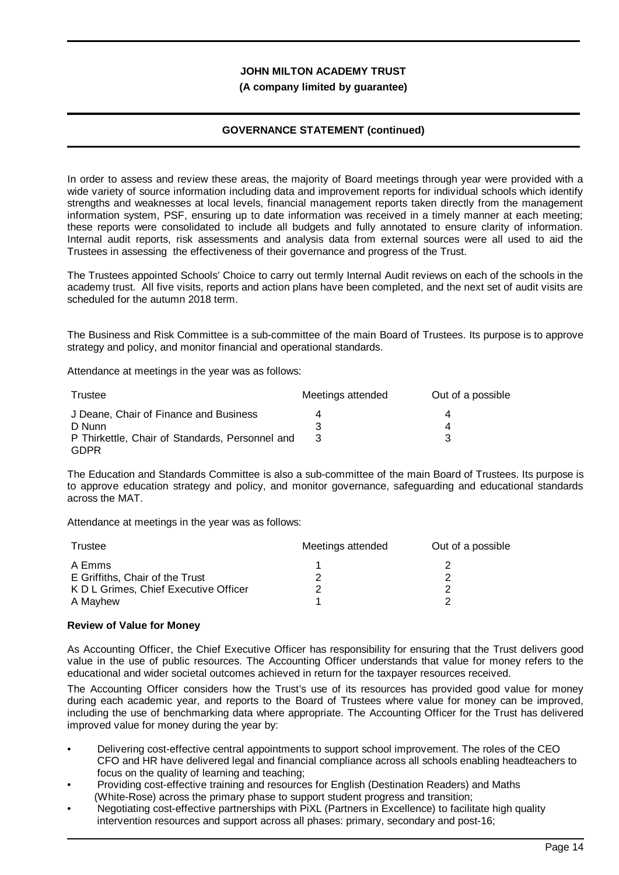#### **(A company limited by guarantee)**

## **GOVERNANCE STATEMENT (continued)**

In order to assess and review these areas, the majority of Board meetings through year were provided with a wide variety of source information including data and improvement reports for individual schools which identify strengths and weaknesses at local levels, financial management reports taken directly from the management information system, PSF, ensuring up to date information was received in a timely manner at each meeting; these reports were consolidated to include all budgets and fully annotated to ensure clarity of information. Internal audit reports, risk assessments and analysis data from external sources were all used to aid the Trustees in assessing the effectiveness of their governance and progress of the Trust.

The Trustees appointed Schools' Choice to carry out termly Internal Audit reviews on each of the schools in the academy trust. All five visits, reports and action plans have been completed, and the next set of audit visits are scheduled for the autumn 2018 term.

The Business and Risk Committee is a sub-committee of the main Board of Trustees. Its purpose is to approve strategy and policy, and monitor financial and operational standards.

Attendance at meetings in the year was as follows:

| Trustee                                                        | Meetings attended | Out of a possible |  |
|----------------------------------------------------------------|-------------------|-------------------|--|
| J Deane, Chair of Finance and Business                         |                   | 4                 |  |
| D Nunn                                                         |                   | 4                 |  |
| P Thirkettle, Chair of Standards, Personnel and<br><b>GDPR</b> |                   |                   |  |

The Education and Standards Committee is also a sub-committee of the main Board of Trustees. Its purpose is to approve education strategy and policy, and monitor governance, safeguarding and educational standards across the MAT.

Attendance at meetings in the year was as follows:

| Trustee                               | Meetings attended | Out of a possible |  |
|---------------------------------------|-------------------|-------------------|--|
| A Emms                                |                   |                   |  |
| E Griffiths, Chair of the Trust       |                   |                   |  |
| K D L Grimes, Chief Executive Officer |                   |                   |  |
| A Mayhew                              |                   |                   |  |

#### **Review of Value for Money**

As Accounting Officer, the Chief Executive Officer has responsibility for ensuring that the Trust delivers good value in the use of public resources. The Accounting Officer understands that value for money refers to the educational and wider societal outcomes achieved in return for the taxpayer resources received.

The Accounting Officer considers how the Trust's use of its resources has provided good value for money during each academic year, and reports to the Board of Trustees where value for money can be improved, including the use of benchmarking data where appropriate. The Accounting Officer for the Trust has delivered improved value for money during the year by:

- Delivering cost-effective central appointments to support school improvement. The roles of the CEO CFO and HR have delivered legal and financial compliance across all schools enabling headteachers to focus on the quality of learning and teaching;
- Providing cost-effective training and resources for English (Destination Readers) and Maths (White-Rose) across the primary phase to support student progress and transition;
- Negotiating cost-effective partnerships with PiXL (Partners in Excellence) to facilitate high quality intervention resources and support across all phases: primary, secondary and post-16;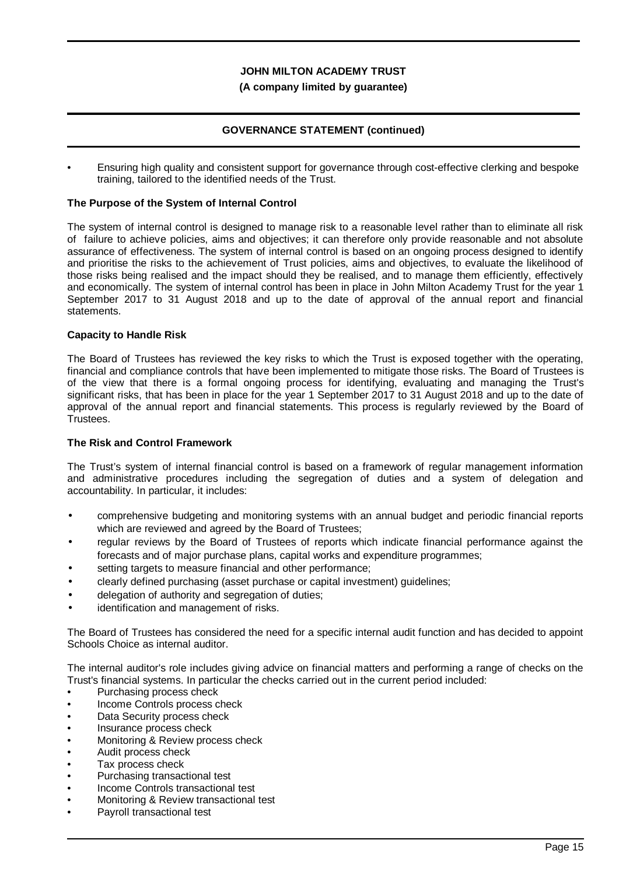### **(A company limited by guarantee)**

## **GOVERNANCE STATEMENT (continued)**

• Ensuring high quality and consistent support for governance through cost-effective clerking and bespoke training, tailored to the identified needs of the Trust.

#### **The Purpose of the System of Internal Control**

The system of internal control is designed to manage risk to a reasonable level rather than to eliminate all risk of failure to achieve policies, aims and objectives; it can therefore only provide reasonable and not absolute assurance of effectiveness. The system of internal control is based on an ongoing process designed to identify and prioritise the risks to the achievement of Trust policies, aims and objectives, to evaluate the likelihood of those risks being realised and the impact should they be realised, and to manage them efficiently, effectively and economically. The system of internal control has been in place in John Milton Academy Trust for the year 1 September 2017 to 31 August 2018 and up to the date of approval of the annual report and financial statements.

#### **Capacity to Handle Risk**

The Board of Trustees has reviewed the key risks to which the Trust is exposed together with the operating, financial and compliance controls that have been implemented to mitigate those risks. The Board of Trustees is of the view that there is a formal ongoing process for identifying, evaluating and managing the Trust's significant risks, that has been in place for the year 1 September 2017 to 31 August 2018 and up to the date of approval of the annual report and financial statements. This process is regularly reviewed by the Board of Trustees.

#### **The Risk and Control Framework**

The Trust's system of internal financial control is based on a framework of regular management information and administrative procedures including the segregation of duties and a system of delegation and accountability. In particular, it includes:

- comprehensive budgeting and monitoring systems with an annual budget and periodic financial reports which are reviewed and agreed by the Board of Trustees;
- regular reviews by the Board of Trustees of reports which indicate financial performance against the forecasts and of major purchase plans, capital works and expenditure programmes;
- setting targets to measure financial and other performance:
- clearly defined purchasing (asset purchase or capital investment) guidelines;
- delegation of authority and segregation of duties;
- identification and management of risks.

The Board of Trustees has considered the need for a specific internal audit function and has decided to appoint Schools Choice as internal auditor.

The internal auditor's role includes giving advice on financial matters and performing a range of checks on the Trust's financial systems. In particular the checks carried out in the current period included:

- Purchasing process check
- Income Controls process check
- Data Security process check
- Insurance process check
- Monitoring & Review process check
- Audit process check
- Tax process check
- Purchasing transactional test
- Income Controls transactional test
- Monitoring & Review transactional test
- Payroll transactional test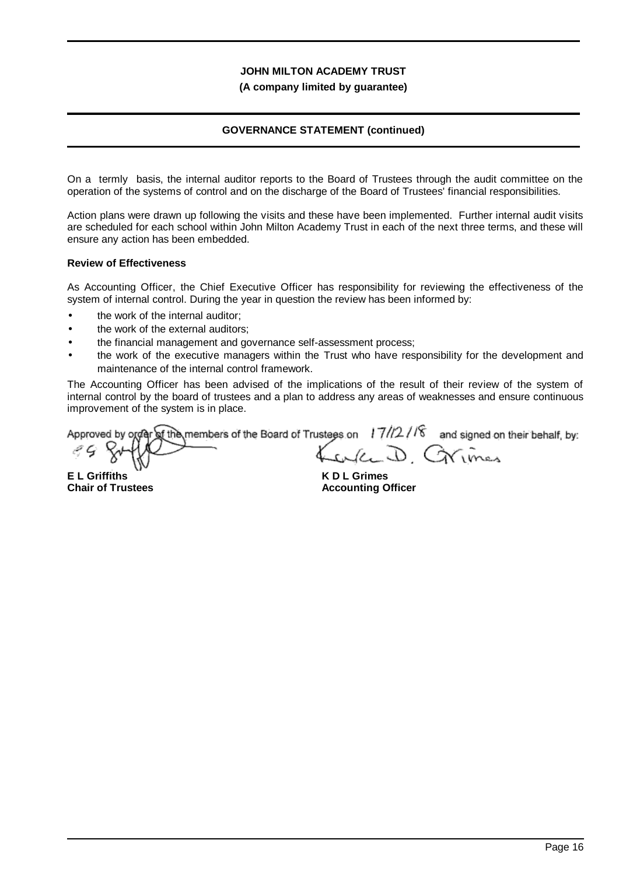**(A company limited by guarantee)**

## **GOVERNANCE STATEMENT (continued)**

On a termly basis, the internal auditor reports to the Board of Trustees through the audit committee on the operation of the systems of control and on the discharge of the Board of Trustees' financial responsibilities.

Action plans were drawn up following the visits and these have been implemented. Further internal audit visits are scheduled for each school within John Milton Academy Trust in each of the next three terms, and these will ensure any action has been embedded.

#### **Review of Effectiveness**

As Accounting Officer, the Chief Executive Officer has responsibility for reviewing the effectiveness of the system of internal control. During the year in question the review has been informed by:

- the work of the internal auditor;
- the work of the external auditors;
- the financial management and governance self-assessment process;
- the work of the executive managers within the Trust who have responsibility for the development and maintenance of the internal control framework.

The Accounting Officer has been advised of the implications of the result of their review of the system of internal control by the board of trustees and a plan to address any areas of weaknesses and ensure continuous improvement of the system is in place.

Approved by order of the members of the Board of Trustees on  $17/12/18$  and signed on their behalf, by: will D. Grimes

**E L Griffiths Chair of Trustees**

**K D L Grimes Accounting Officer**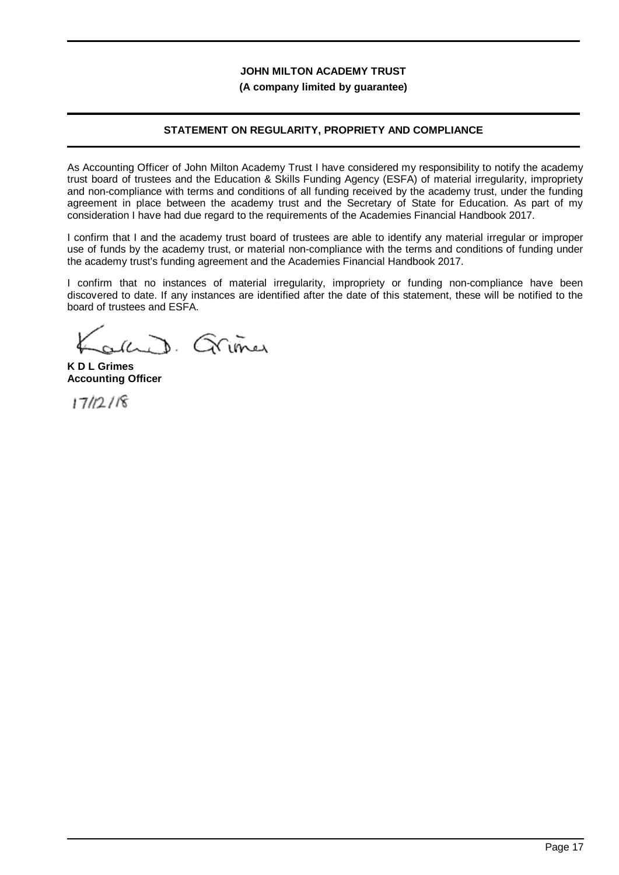#### **(A company limited by guarantee)**

## **STATEMENT ON REGULARITY, PROPRIETY AND COMPLIANCE**

As Accounting Officer of John Milton Academy Trust I have considered my responsibility to notify the academy trust board of trustees and the Education & Skills Funding Agency (ESFA) of material irregularity, impropriety and non-compliance with terms and conditions of all funding received by the academy trust, under the funding agreement in place between the academy trust and the Secretary of State for Education. As part of my consideration I have had due regard to the requirements of the Academies Financial Handbook 2017.

I confirm that I and the academy trust board of trustees are able to identify any material irregular or improper use of funds by the academy trust, or material non-compliance with the terms and conditions of funding under the academy trust's funding agreement and the Academies Financial Handbook 2017.

I confirm that no instances of material irregularity, impropriety or funding non-compliance have been discovered to date. If any instances are identified after the date of this statement, these will be notified to the board of trustees and ESFA.

and Grimer

**K D L Grimes Accounting Officer**

 $17/12/18$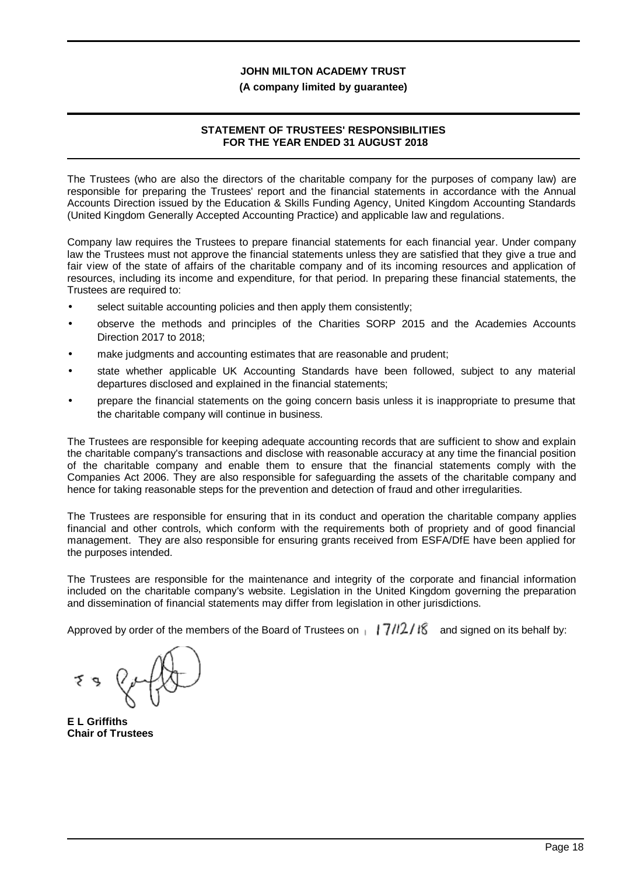#### **(A company limited by guarantee)**

## **STATEMENT OF TRUSTEES' RESPONSIBILITIES FOR THE YEAR ENDED 31 AUGUST 2018**

The Trustees (who are also the directors of the charitable company for the purposes of company law) are responsible for preparing the Trustees' report and the financial statements in accordance with the Annual Accounts Direction issued by the Education & Skills Funding Agency, United Kingdom Accounting Standards (United Kingdom Generally Accepted Accounting Practice) and applicable law and regulations.

Company law requires the Trustees to prepare financial statements for each financial year. Under company law the Trustees must not approve the financial statements unless they are satisfied that they give a true and fair view of the state of affairs of the charitable company and of its incoming resources and application of resources, including its income and expenditure, for that period. In preparing these financial statements, the Trustees are required to:

- select suitable accounting policies and then apply them consistently;
- observe the methods and principles of the Charities SORP 2015 and the Academies Accounts Direction 2017 to 2018;
- make judgments and accounting estimates that are reasonable and prudent;
- state whether applicable UK Accounting Standards have been followed, subject to any material departures disclosed and explained in the financial statements;
- prepare the financial statements on the going concern basis unless it is inappropriate to presume that the charitable company will continue in business.

The Trustees are responsible for keeping adequate accounting records that are sufficient to show and explain the charitable company's transactions and disclose with reasonable accuracy at any time the financial position of the charitable company and enable them to ensure that the financial statements comply with the Companies Act 2006. They are also responsible for safeguarding the assets of the charitable company and hence for taking reasonable steps for the prevention and detection of fraud and other irregularities.

The Trustees are responsible for ensuring that in its conduct and operation the charitable company applies financial and other controls, which conform with the requirements both of propriety and of good financial management. They are also responsible for ensuring grants received from ESFA/DfE have been applied for the purposes intended.

The Trustees are responsible for the maintenance and integrity of the corporate and financial information included on the charitable company's website. Legislation in the United Kingdom governing the preparation and dissemination of financial statements may differ from legislation in other jurisdictions.

Approved by order of the members of the Board of Trustees on  $\frac{17}{12}$  |  $\frac{27}{8}$  and signed on its behalf by:

**E L Griffiths Chair of Trustees**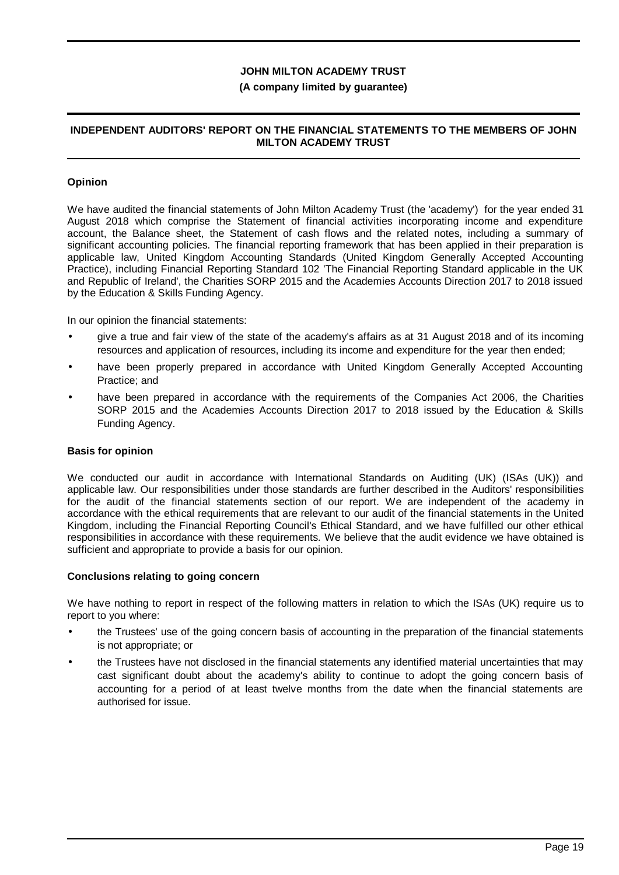#### **(A company limited by guarantee)**

#### **INDEPENDENT AUDITORS' REPORT ON THE FINANCIAL STATEMENTS TO THE MEMBERS OF JOHN MILTON ACADEMY TRUST**

### **Opinion**

We have audited the financial statements of John Milton Academy Trust (the 'academy') for the year ended 31 August 2018 which comprise the Statement of financial activities incorporating income and expenditure account, the Balance sheet, the Statement of cash flows and the related notes, including a summary of significant accounting policies. The financial reporting framework that has been applied in their preparation is applicable law, United Kingdom Accounting Standards (United Kingdom Generally Accepted Accounting Practice), including Financial Reporting Standard 102 'The Financial Reporting Standard applicable in the UK and Republic of Ireland', the Charities SORP 2015 and the Academies Accounts Direction 2017 to 2018 issued by the Education & Skills Funding Agency.

In our opinion the financial statements:

- give a true and fair view of the state of the academy's affairs as at 31 August 2018 and of its incoming resources and application of resources, including its income and expenditure for the year then ended;
- have been properly prepared in accordance with United Kingdom Generally Accepted Accounting Practice; and
- have been prepared in accordance with the requirements of the Companies Act 2006, the Charities SORP 2015 and the Academies Accounts Direction 2017 to 2018 issued by the Education & Skills Funding Agency.

### **Basis for opinion**

We conducted our audit in accordance with International Standards on Auditing (UK) (ISAs (UK)) and applicable law. Our responsibilities under those standards are further described in the Auditors' responsibilities for the audit of the financial statements section of our report. We are independent of the academy in accordance with the ethical requirements that are relevant to our audit of the financial statements in the United Kingdom, including the Financial Reporting Council's Ethical Standard, and we have fulfilled our other ethical responsibilities in accordance with these requirements. We believe that the audit evidence we have obtained is sufficient and appropriate to provide a basis for our opinion.

#### **Conclusions relating to going concern**

We have nothing to report in respect of the following matters in relation to which the ISAs (UK) require us to report to you where:

- the Trustees' use of the going concern basis of accounting in the preparation of the financial statements is not appropriate; or
- the Trustees have not disclosed in the financial statements any identified material uncertainties that may cast significant doubt about the academy's ability to continue to adopt the going concern basis of accounting for a period of at least twelve months from the date when the financial statements are authorised for issue.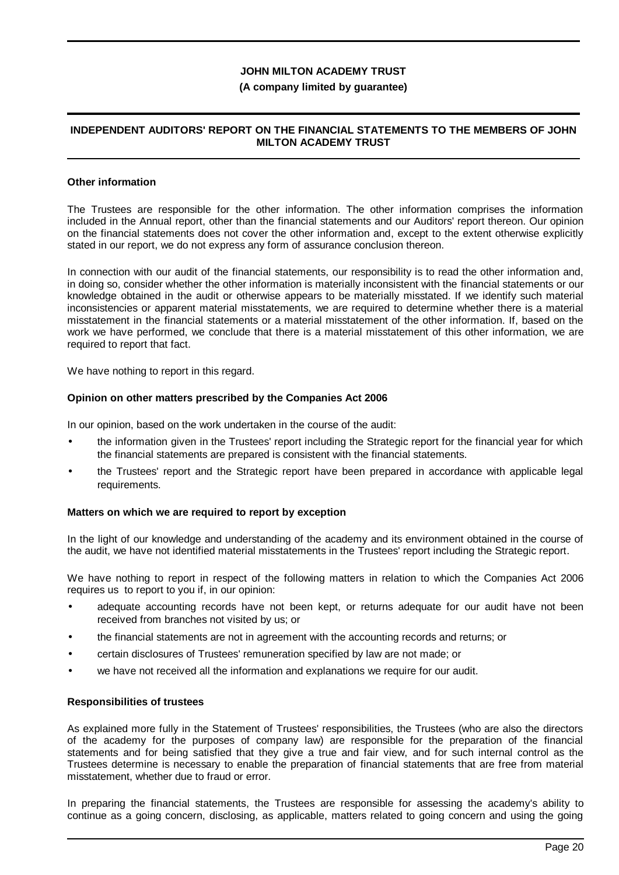#### **(A company limited by guarantee)**

#### **INDEPENDENT AUDITORS' REPORT ON THE FINANCIAL STATEMENTS TO THE MEMBERS OF JOHN MILTON ACADEMY TRUST**

#### **Other information**

The Trustees are responsible for the other information. The other information comprises the information included in the Annual report, other than the financial statements and our Auditors' report thereon. Our opinion on the financial statements does not cover the other information and, except to the extent otherwise explicitly stated in our report, we do not express any form of assurance conclusion thereon.

In connection with our audit of the financial statements, our responsibility is to read the other information and, in doing so, consider whether the other information is materially inconsistent with the financial statements or our knowledge obtained in the audit or otherwise appears to be materially misstated. If we identify such material inconsistencies or apparent material misstatements, we are required to determine whether there is a material misstatement in the financial statements or a material misstatement of the other information. If, based on the work we have performed, we conclude that there is a material misstatement of this other information, we are required to report that fact.

We have nothing to report in this regard.

#### **Opinion on other matters prescribed by the Companies Act 2006**

In our opinion, based on the work undertaken in the course of the audit:

- the information given in the Trustees' report including the Strategic report for the financial year for which the financial statements are prepared is consistent with the financial statements.
- the Trustees' report and the Strategic report have been prepared in accordance with applicable legal requirements.

#### **Matters on which we are required to report by exception**

In the light of our knowledge and understanding of the academy and its environment obtained in the course of the audit, we have not identified material misstatements in the Trustees' report including the Strategic report.

We have nothing to report in respect of the following matters in relation to which the Companies Act 2006 requires us to report to you if, in our opinion:

- adequate accounting records have not been kept, or returns adequate for our audit have not been received from branches not visited by us; or
- the financial statements are not in agreement with the accounting records and returns; or
- certain disclosures of Trustees' remuneration specified by law are not made; or
- we have not received all the information and explanations we require for our audit.

#### **Responsibilities of trustees**

As explained more fully in the Statement of Trustees' responsibilities, the Trustees (who are also the directors of the academy for the purposes of company law) are responsible for the preparation of the financial statements and for being satisfied that they give a true and fair view, and for such internal control as the Trustees determine is necessary to enable the preparation of financial statements that are free from material misstatement, whether due to fraud or error.

In preparing the financial statements, the Trustees are responsible for assessing the academy's ability to continue as a going concern, disclosing, as applicable, matters related to going concern and using the going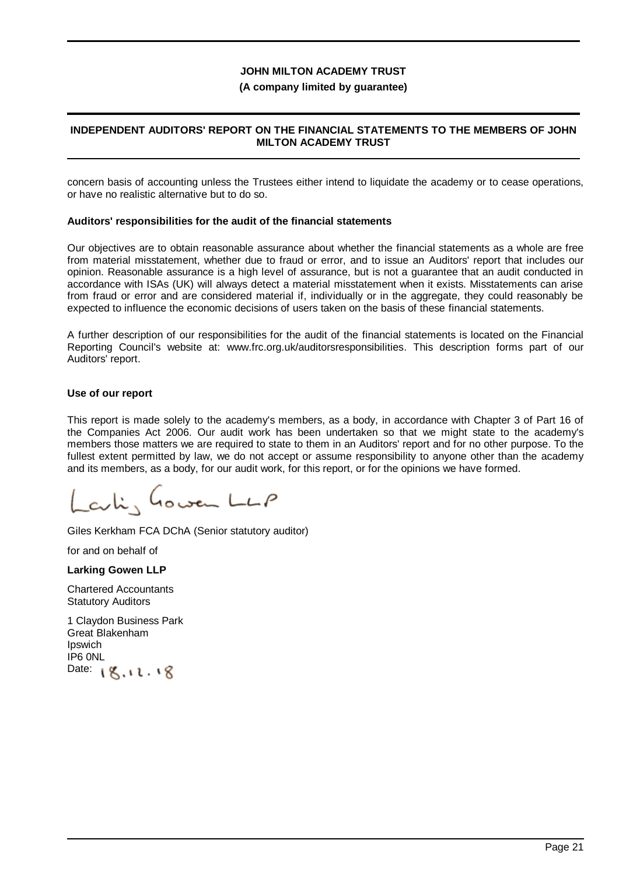#### **(A company limited by guarantee)**

#### **INDEPENDENT AUDITORS' REPORT ON THE FINANCIAL STATEMENTS TO THE MEMBERS OF JOHN MILTON ACADEMY TRUST**

concern basis of accounting unless the Trustees either intend to liquidate the academy or to cease operations, or have no realistic alternative but to do so.

#### **Auditors' responsibilities for the audit of the financial statements**

Our objectives are to obtain reasonable assurance about whether the financial statements as a whole are free from material misstatement, whether due to fraud or error, and to issue an Auditors' report that includes our opinion. Reasonable assurance is a high level of assurance, but is not a guarantee that an audit conducted in accordance with ISAs (UK) will always detect a material misstatement when it exists. Misstatements can arise from fraud or error and are considered material if, individually or in the aggregate, they could reasonably be expected to influence the economic decisions of users taken on the basis of these financial statements.

A further description of our responsibilities for the audit of the financial statements is located on the Financial Reporting Council's website at: www.frc.org.uk/auditorsresponsibilities. This description forms part of our Auditors' report.

#### **Use of our report**

This report is made solely to the academy's members, as a body, in accordance with Chapter 3 of Part 16 of the Companies Act 2006. Our audit work has been undertaken so that we might state to the academy's members those matters we are required to state to them in an Auditors' report and for no other purpose. To the fullest extent permitted by law, we do not accept or assume responsibility to anyone other than the academy and its members, as a body, for our audit work, for this report, or for the opinions we have formed.

citi, Gowen LLP

Giles Kerkham FCA DChA (Senior statutory auditor)

for and on behalf of

**Larking Gowen LLP**

Chartered Accountants Statutory Auditors

1 Claydon Business Park Great Blakenham Ipswich IP6 0NL Date:  $8.11.18$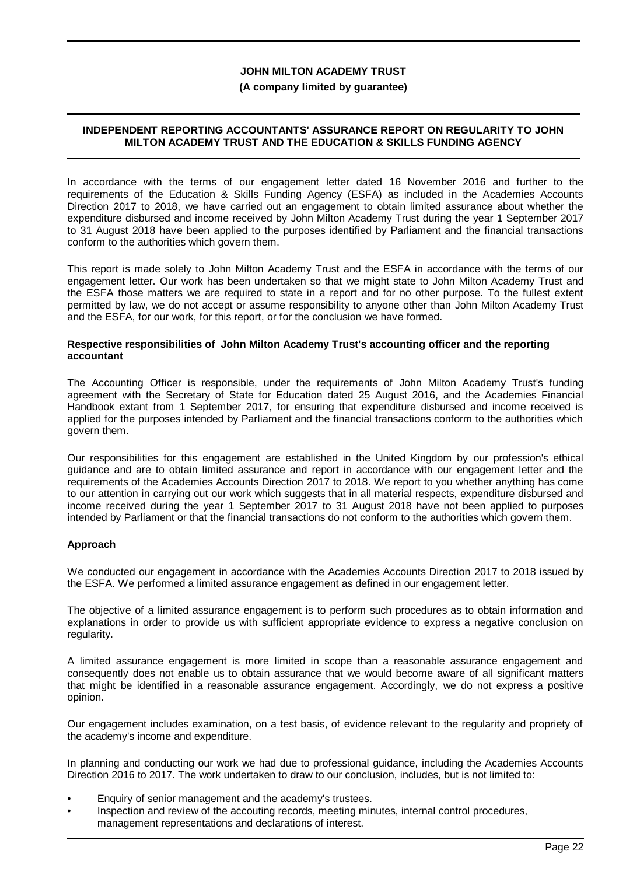#### **(A company limited by guarantee)**

### **INDEPENDENT REPORTING ACCOUNTANTS' ASSURANCE REPORT ON REGULARITY TO JOHN MILTON ACADEMY TRUST AND THE EDUCATION & SKILLS FUNDING AGENCY**

In accordance with the terms of our engagement letter dated 16 November 2016 and further to the requirements of the Education & Skills Funding Agency (ESFA) as included in the Academies Accounts Direction 2017 to 2018, we have carried out an engagement to obtain limited assurance about whether the expenditure disbursed and income received by John Milton Academy Trust during the year 1 September 2017 to 31 August 2018 have been applied to the purposes identified by Parliament and the financial transactions conform to the authorities which govern them.

This report is made solely to John Milton Academy Trust and the ESFA in accordance with the terms of our engagement letter. Our work has been undertaken so that we might state to John Milton Academy Trust and the ESFA those matters we are required to state in a report and for no other purpose. To the fullest extent permitted by law, we do not accept or assume responsibility to anyone other than John Milton Academy Trust and the ESFA, for our work, for this report, or for the conclusion we have formed.

#### **Respective responsibilities of John Milton Academy Trust's accounting officer and the reporting accountant**

The Accounting Officer is responsible, under the requirements of John Milton Academy Trust's funding agreement with the Secretary of State for Education dated 25 August 2016, and the Academies Financial Handbook extant from 1 September 2017, for ensuring that expenditure disbursed and income received is applied for the purposes intended by Parliament and the financial transactions conform to the authorities which govern them.

Our responsibilities for this engagement are established in the United Kingdom by our profession's ethical guidance and are to obtain limited assurance and report in accordance with our engagement letter and the requirements of the Academies Accounts Direction 2017 to 2018. We report to you whether anything has come to our attention in carrying out our work which suggests that in all material respects, expenditure disbursed and income received during the year 1 September 2017 to 31 August 2018 have not been applied to purposes intended by Parliament or that the financial transactions do not conform to the authorities which govern them.

#### **Approach**

We conducted our engagement in accordance with the Academies Accounts Direction 2017 to 2018 issued by the ESFA. We performed a limited assurance engagement as defined in our engagement letter.

The objective of a limited assurance engagement is to perform such procedures as to obtain information and explanations in order to provide us with sufficient appropriate evidence to express a negative conclusion on regularity.

A limited assurance engagement is more limited in scope than a reasonable assurance engagement and consequently does not enable us to obtain assurance that we would become aware of all significant matters that might be identified in a reasonable assurance engagement. Accordingly, we do not express a positive opinion.

Our engagement includes examination, on a test basis, of evidence relevant to the regularity and propriety of the academy's income and expenditure.

In planning and conducting our work we had due to professional guidance, including the Academies Accounts Direction 2016 to 2017. The work undertaken to draw to our conclusion, includes, but is not limited to:

- Enquiry of senior management and the academy's trustees.
- Inspection and review of the accouting records, meeting minutes, internal control procedures, management representations and declarations of interest.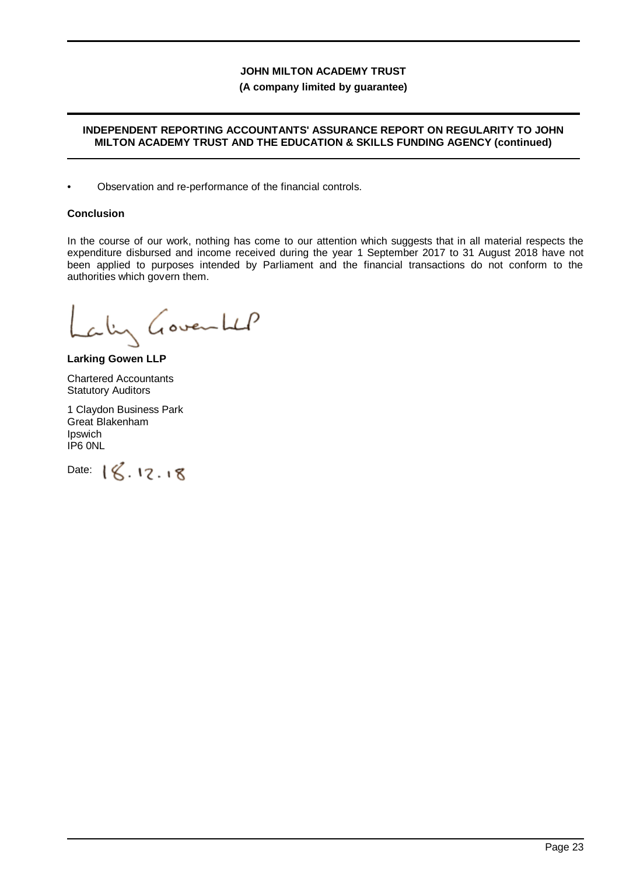#### **(A company limited by guarantee)**

### **INDEPENDENT REPORTING ACCOUNTANTS' ASSURANCE REPORT ON REGULARITY TO JOHN MILTON ACADEMY TRUST AND THE EDUCATION & SKILLS FUNDING AGENCY (continued)**

• Observation and re-performance of the financial controls.

## **Conclusion**

In the course of our work, nothing has come to our attention which suggests that in all material respects the expenditure disbursed and income received during the year 1 September 2017 to 31 August 2018 have not been applied to purposes intended by Parliament and the financial transactions do not conform to the authorities which govern them.

aling Governhal

**Larking Gowen LLP**

Chartered Accountants Statutory Auditors

1 Claydon Business Park Great Blakenham Ipswich IP6 0NL

Date:  $18.12.18$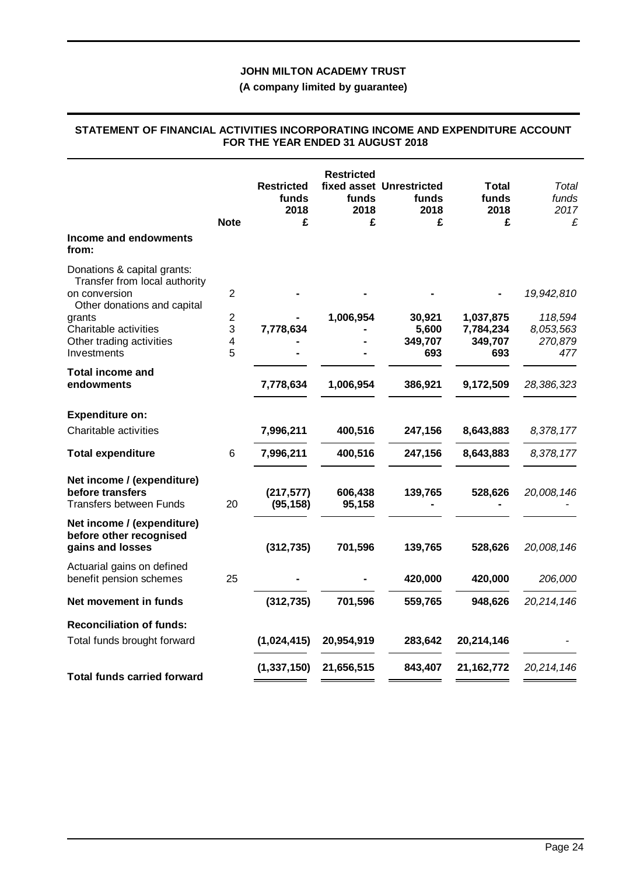## **(A company limited by guarantee)**

### **STATEMENT OF FINANCIAL ACTIVITIES INCORPORATING INCOME AND EXPENDITURE ACCOUNT FOR THE YEAR ENDED 31 AUGUST 2018**

|                                                                                  | <b>Note</b>    | <b>Restricted</b><br>funds<br>2018<br>£ | <b>Restricted</b><br>funds<br>2018<br>£ | fixed asset Unrestricted<br>funds<br>2018<br>£ | Total<br>funds<br>2018<br>£ | Total<br>funds<br>2017<br>£ |
|----------------------------------------------------------------------------------|----------------|-----------------------------------------|-----------------------------------------|------------------------------------------------|-----------------------------|-----------------------------|
| Income and endowments<br>from:                                                   |                |                                         |                                         |                                                |                             |                             |
| Donations & capital grants:<br>Transfer from local authority<br>on conversion    | $\overline{2}$ |                                         |                                         |                                                |                             | 19,942,810                  |
| Other donations and capital<br>grants                                            | $\overline{2}$ |                                         | 1,006,954                               | 30,921                                         | 1,037,875                   | 118,594                     |
| Charitable activities                                                            | 3              | 7,778,634                               |                                         | 5,600                                          | 7,784,234                   | 8,053,563                   |
| Other trading activities<br>Investments                                          | 4<br>5         |                                         |                                         | 349,707<br>693                                 | 349,707<br>693              | 270,879<br>477              |
| <b>Total income and</b><br>endowments                                            |                | 7,778,634                               | 1,006,954                               | 386,921                                        | 9,172,509                   | 28,386,323                  |
| <b>Expenditure on:</b>                                                           |                |                                         |                                         |                                                |                             |                             |
| Charitable activities                                                            |                | 7,996,211                               | 400,516                                 | 247,156                                        | 8,643,883                   | 8,378,177                   |
| <b>Total expenditure</b>                                                         | 6              | 7,996,211                               | 400,516                                 | 247,156                                        | 8,643,883                   | 8,378,177                   |
| Net income / (expenditure)<br>before transfers<br><b>Transfers between Funds</b> | 20             | (217, 577)<br>(95, 158)                 | 606,438<br>95,158                       | 139,765                                        | 528,626                     | 20,008,146                  |
| Net income / (expenditure)<br>before other recognised<br>gains and losses        |                | (312, 735)                              | 701,596                                 | 139,765                                        | 528,626                     | 20,008,146                  |
| Actuarial gains on defined<br>benefit pension schemes                            | 25             |                                         |                                         | 420,000                                        | 420,000                     | 206,000                     |
| Net movement in funds                                                            |                | (312, 735)                              | 701,596                                 | 559,765                                        | 948,626                     | 20,214,146                  |
| <b>Reconciliation of funds:</b>                                                  |                |                                         |                                         |                                                |                             |                             |
| Total funds brought forward                                                      |                | (1,024,415)                             | 20,954,919                              | 283,642                                        | 20,214,146                  |                             |
| <b>Total funds carried forward</b>                                               |                | (1, 337, 150)                           | 21,656,515                              | 843,407                                        | 21, 162, 772                | 20,214,146                  |
|                                                                                  |                |                                         |                                         |                                                |                             |                             |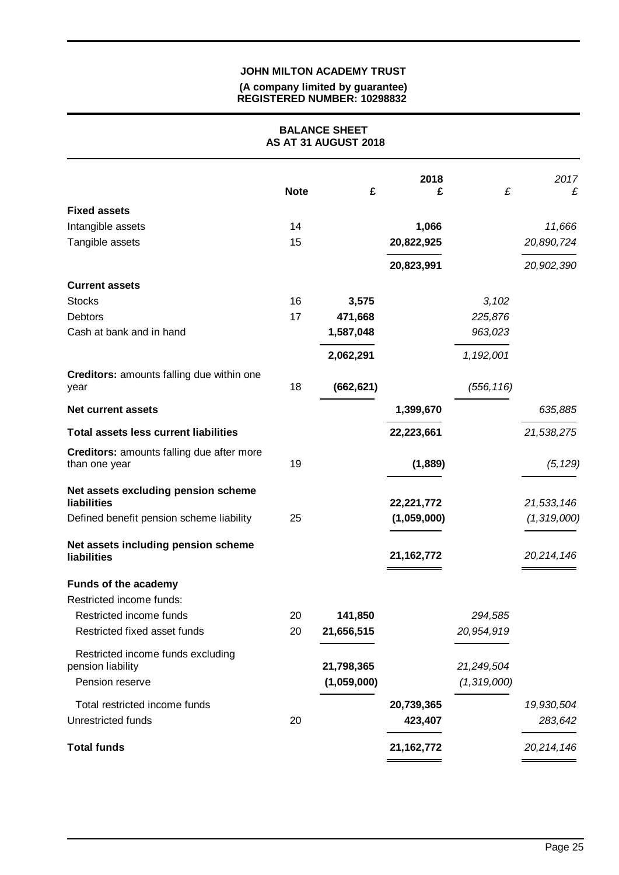#### **(A company limited by guarantee) REGISTERED NUMBER: 10298832**

### **BALANCE SHEET AS AT 31 AUGUST 2018**

|                                                                           | <b>Note</b> | £                         | 2018<br>£    | £                         | 2017<br>£     |
|---------------------------------------------------------------------------|-------------|---------------------------|--------------|---------------------------|---------------|
| <b>Fixed assets</b>                                                       |             |                           |              |                           |               |
| Intangible assets                                                         | 14          |                           | 1,066        |                           | 11,666        |
| Tangible assets                                                           | 15          |                           | 20,822,925   |                           | 20,890,724    |
|                                                                           |             |                           | 20,823,991   |                           | 20,902,390    |
| <b>Current assets</b>                                                     |             |                           |              |                           |               |
| <b>Stocks</b>                                                             | 16          | 3,575                     |              | 3,102                     |               |
| <b>Debtors</b>                                                            | 17          | 471,668                   |              | 225,876                   |               |
| Cash at bank and in hand                                                  |             | 1,587,048                 |              | 963,023                   |               |
|                                                                           |             | 2,062,291                 |              | 1,192,001                 |               |
| <b>Creditors:</b> amounts falling due within one<br>year                  | 18          | (662, 621)                |              | (556, 116)                |               |
| <b>Net current assets</b>                                                 |             |                           | 1,399,670    |                           | 635,885       |
| <b>Total assets less current liabilities</b>                              |             |                           | 22,223,661   |                           | 21,538,275    |
| <b>Creditors:</b> amounts falling due after more<br>than one year         | 19          |                           | (1,889)      |                           | (5, 129)      |
| Net assets excluding pension scheme<br><b>liabilities</b>                 |             |                           | 22,221,772   |                           | 21,533,146    |
| Defined benefit pension scheme liability                                  | 25          |                           | (1,059,000)  |                           | (1, 319, 000) |
| Net assets including pension scheme<br><b>liabilities</b>                 |             |                           | 21, 162, 772 |                           | 20,214,146    |
| <b>Funds of the academy</b>                                               |             |                           |              |                           |               |
| Restricted income funds:                                                  |             |                           |              |                           |               |
| Restricted income funds                                                   | 20          | 141,850                   |              | 294,585                   |               |
| Restricted fixed asset funds                                              | 20          | 21,656,515                |              | 20,954,919                |               |
| Restricted income funds excluding<br>pension liability<br>Pension reserve |             | 21,798,365<br>(1,059,000) |              | 21,249,504<br>(1,319,000) |               |
| Total restricted income funds                                             |             |                           | 20,739,365   |                           | 19,930,504    |
| Unrestricted funds                                                        | 20          |                           | 423,407      |                           | 283,642       |
| <b>Total funds</b>                                                        |             |                           | 21, 162, 772 |                           | 20,214,146    |
|                                                                           |             |                           |              |                           |               |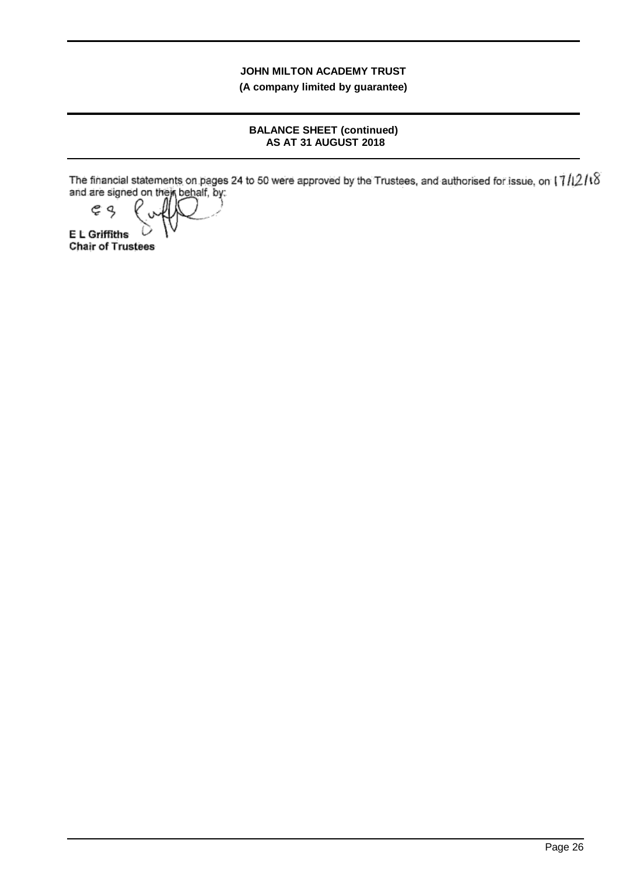**(A company limited by guarantee)**

#### **BALANCE SHEET (continued) AS AT 31 AUGUST 2018**

The financial statements on pages 24 to 50 were approved by the Trustees, and authorised for issue, on and are signed on their behalf, by:

ęς **E L Griffiths Chair of Trustees**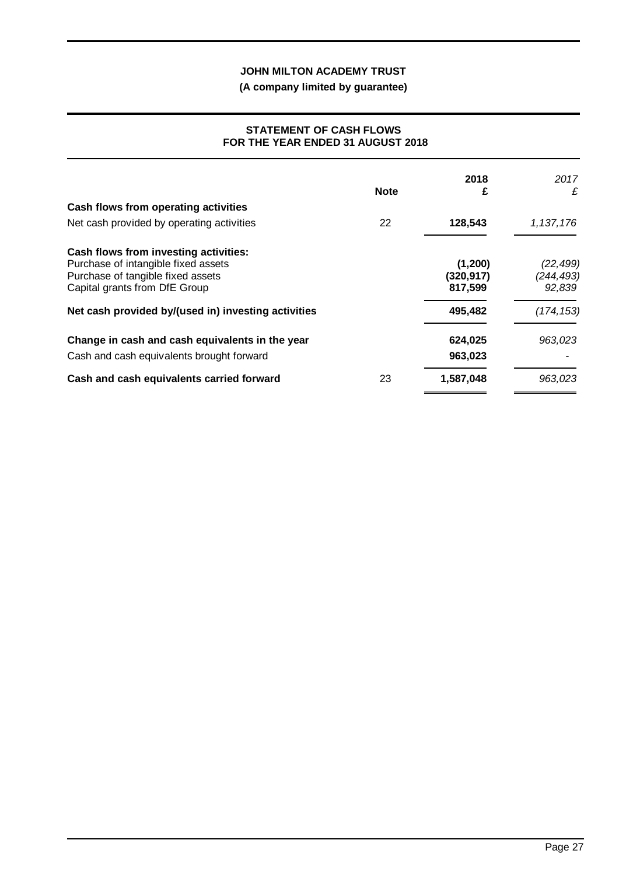**(A company limited by guarantee)**

#### **STATEMENT OF CASH FLOWS FOR THE YEAR ENDED 31 AUGUST 2018**

|                                                     | <b>Note</b> | 2018<br>£  | 2017<br>£  |
|-----------------------------------------------------|-------------|------------|------------|
| Cash flows from operating activities                |             |            |            |
| Net cash provided by operating activities           | 22          | 128,543    | 1,137,176  |
| Cash flows from investing activities:               |             |            |            |
| Purchase of intangible fixed assets                 |             | (1, 200)   | (22, 499)  |
| Purchase of tangible fixed assets                   |             | (320, 917) | (244, 493) |
| Capital grants from DfE Group                       |             | 817,599    | 92,839     |
| Net cash provided by/(used in) investing activities |             | 495,482    | (174, 153) |
| Change in cash and cash equivalents in the year     |             | 624,025    | 963,023    |
| Cash and cash equivalents brought forward           |             | 963,023    |            |
| Cash and cash equivalents carried forward           | 23          | 1,587,048  | 963,023    |
|                                                     |             |            |            |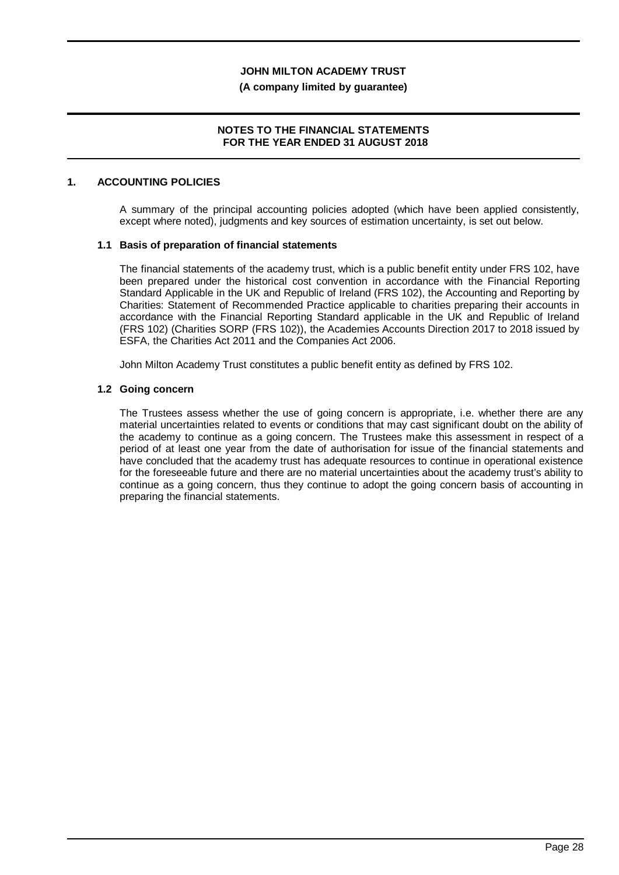#### **(A company limited by guarantee)**

#### **NOTES TO THE FINANCIAL STATEMENTS FOR THE YEAR ENDED 31 AUGUST 2018**

#### **1. ACCOUNTING POLICIES**

A summary of the principal accounting policies adopted (which have been applied consistently, except where noted), judgments and key sources of estimation uncertainty, is set out below.

#### **1.1 Basis of preparation of financial statements**

The financial statements of the academy trust, which is a public benefit entity under FRS 102, have been prepared under the historical cost convention in accordance with the Financial Reporting Standard Applicable in the UK and Republic of Ireland (FRS 102), the Accounting and Reporting by Charities: Statement of Recommended Practice applicable to charities preparing their accounts in accordance with the Financial Reporting Standard applicable in the UK and Republic of Ireland (FRS 102) (Charities SORP (FRS 102)), the Academies Accounts Direction 2017 to 2018 issued by ESFA, the Charities Act 2011 and the Companies Act 2006.

John Milton Academy Trust constitutes a public benefit entity as defined by FRS 102.

#### **1.2 Going concern**

The Trustees assess whether the use of going concern is appropriate, i.e. whether there are any material uncertainties related to events or conditions that may cast significant doubt on the ability of the academy to continue as a going concern. The Trustees make this assessment in respect of a period of at least one year from the date of authorisation for issue of the financial statements and have concluded that the academy trust has adequate resources to continue in operational existence for the foreseeable future and there are no material uncertainties about the academy trust's ability to continue as a going concern, thus they continue to adopt the going concern basis of accounting in preparing the financial statements.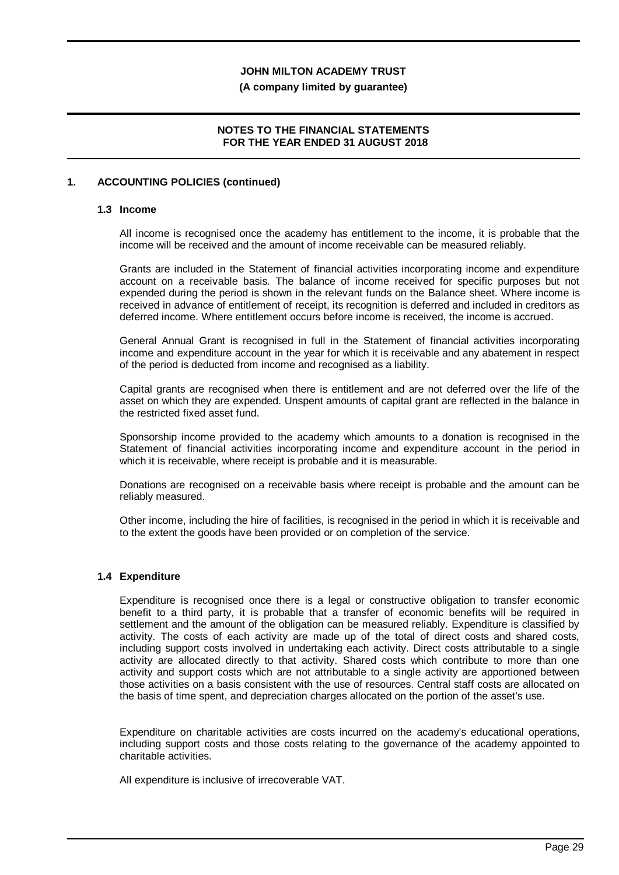#### **(A company limited by guarantee)**

#### **NOTES TO THE FINANCIAL STATEMENTS FOR THE YEAR ENDED 31 AUGUST 2018**

#### **1. ACCOUNTING POLICIES (continued)**

#### **1.3 Income**

All income is recognised once the academy has entitlement to the income, it is probable that the income will be received and the amount of income receivable can be measured reliably.

Grants are included in the Statement of financial activities incorporating income and expenditure account on a receivable basis. The balance of income received for specific purposes but not expended during the period is shown in the relevant funds on the Balance sheet. Where income is received in advance of entitlement of receipt, its recognition is deferred and included in creditors as deferred income. Where entitlement occurs before income is received, the income is accrued.

General Annual Grant is recognised in full in the Statement of financial activities incorporating income and expenditure account in the year for which it is receivable and any abatement in respect of the period is deducted from income and recognised as a liability.

Capital grants are recognised when there is entitlement and are not deferred over the life of the asset on which they are expended. Unspent amounts of capital grant are reflected in the balance in the restricted fixed asset fund.

Sponsorship income provided to the academy which amounts to a donation is recognised in the Statement of financial activities incorporating income and expenditure account in the period in which it is receivable, where receipt is probable and it is measurable.

Donations are recognised on a receivable basis where receipt is probable and the amount can be reliably measured.

Other income, including the hire of facilities, is recognised in the period in which it is receivable and to the extent the goods have been provided or on completion of the service.

#### **1.4 Expenditure**

Expenditure is recognised once there is a legal or constructive obligation to transfer economic benefit to a third party, it is probable that a transfer of economic benefits will be required in settlement and the amount of the obligation can be measured reliably. Expenditure is classified by activity. The costs of each activity are made up of the total of direct costs and shared costs, including support costs involved in undertaking each activity. Direct costs attributable to a single activity are allocated directly to that activity. Shared costs which contribute to more than one activity and support costs which are not attributable to a single activity are apportioned between those activities on a basis consistent with the use of resources. Central staff costs are allocated on the basis of time spent, and depreciation charges allocated on the portion of the asset's use.

Expenditure on charitable activities are costs incurred on the academy's educational operations, including support costs and those costs relating to the governance of the academy appointed to charitable activities.

All expenditure is inclusive of irrecoverable VAT.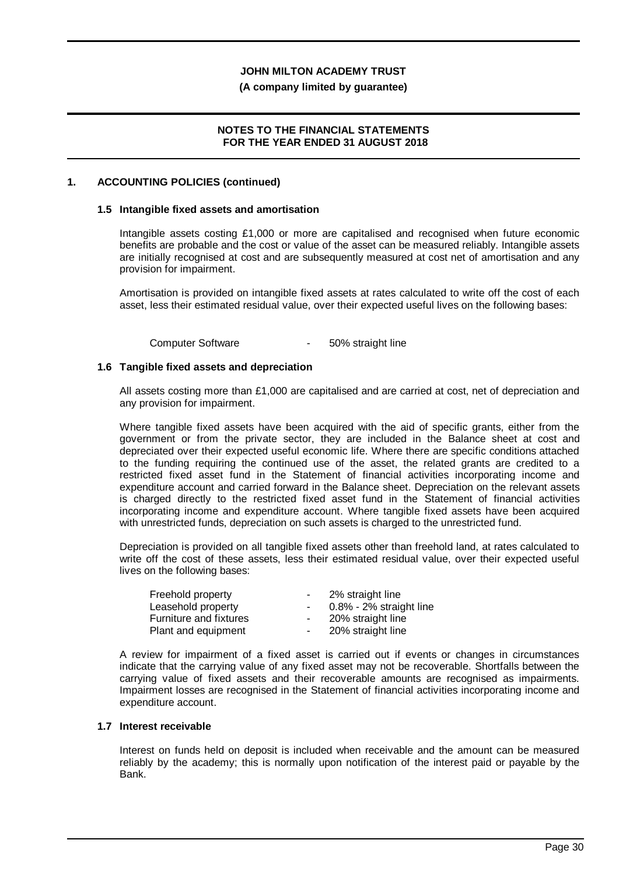#### **(A company limited by guarantee)**

#### **NOTES TO THE FINANCIAL STATEMENTS FOR THE YEAR ENDED 31 AUGUST 2018**

#### **1. ACCOUNTING POLICIES (continued)**

#### **1.5 Intangible fixed assets and amortisation**

Intangible assets costing £1,000 or more are capitalised and recognised when future economic benefits are probable and the cost or value of the asset can be measured reliably. Intangible assets are initially recognised at cost and are subsequently measured at cost net of amortisation and any provision for impairment.

Amortisation is provided on intangible fixed assets at rates calculated to write off the cost of each asset, less their estimated residual value, over their expected useful lives on the following bases:

Computer Software **- 50%** straight line

#### **1.6 Tangible fixed assets and depreciation**

All assets costing more than £1,000 are capitalised and are carried at cost, net of depreciation and any provision for impairment.

Where tangible fixed assets have been acquired with the aid of specific grants, either from the government or from the private sector, they are included in the Balance sheet at cost and depreciated over their expected useful economic life. Where there are specific conditions attached to the funding requiring the continued use of the asset, the related grants are credited to a restricted fixed asset fund in the Statement of financial activities incorporating income and expenditure account and carried forward in the Balance sheet. Depreciation on the relevant assets is charged directly to the restricted fixed asset fund in the Statement of financial activities incorporating income and expenditure account. Where tangible fixed assets have been acquired with unrestricted funds, depreciation on such assets is charged to the unrestricted fund.

Depreciation is provided on all tangible fixed assets other than freehold land, at rates calculated to write off the cost of these assets, less their estimated residual value, over their expected useful lives on the following bases:

| Freehold property      | $\sim$ | 2% straight line           |
|------------------------|--------|----------------------------|
| Leasehold property     |        | $0.8\%$ - 2% straight line |
| Furniture and fixtures |        | 20% straight line          |
| Plant and equipment    | $\sim$ | 20% straight line          |

A review for impairment of a fixed asset is carried out if events or changes in circumstances indicate that the carrying value of any fixed asset may not be recoverable. Shortfalls between the carrying value of fixed assets and their recoverable amounts are recognised as impairments. Impairment losses are recognised in the Statement of financial activities incorporating income and expenditure account.

#### **1.7 Interest receivable**

Interest on funds held on deposit is included when receivable and the amount can be measured reliably by the academy; this is normally upon notification of the interest paid or payable by the Bank.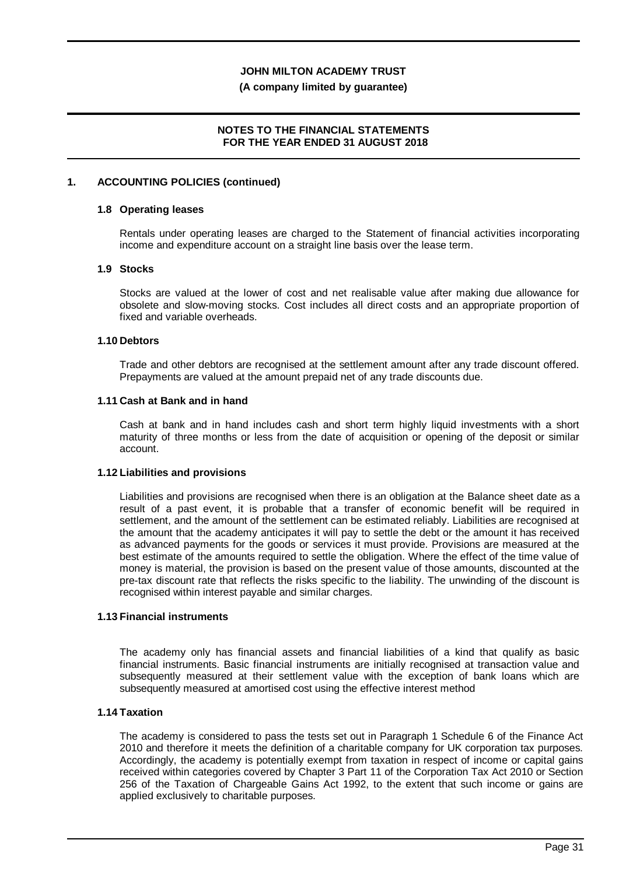#### **(A company limited by guarantee)**

#### **NOTES TO THE FINANCIAL STATEMENTS FOR THE YEAR ENDED 31 AUGUST 2018**

#### **1. ACCOUNTING POLICIES (continued)**

#### **1.8 Operating leases**

Rentals under operating leases are charged to the Statement of financial activities incorporating income and expenditure account on a straight line basis over the lease term.

#### **1.9 Stocks**

Stocks are valued at the lower of cost and net realisable value after making due allowance for obsolete and slow-moving stocks. Cost includes all direct costs and an appropriate proportion of fixed and variable overheads.

#### **1.10 Debtors**

Trade and other debtors are recognised at the settlement amount after any trade discount offered. Prepayments are valued at the amount prepaid net of any trade discounts due.

#### **1.11 Cash at Bank and in hand**

Cash at bank and in hand includes cash and short term highly liquid investments with a short maturity of three months or less from the date of acquisition or opening of the deposit or similar account.

#### **1.12 Liabilities and provisions**

Liabilities and provisions are recognised when there is an obligation at the Balance sheet date as a result of a past event, it is probable that a transfer of economic benefit will be required in settlement, and the amount of the settlement can be estimated reliably. Liabilities are recognised at the amount that the academy anticipates it will pay to settle the debt or the amount it has received as advanced payments for the goods or services it must provide. Provisions are measured at the best estimate of the amounts required to settle the obligation. Where the effect of the time value of money is material, the provision is based on the present value of those amounts, discounted at the pre-tax discount rate that reflects the risks specific to the liability. The unwinding of the discount is recognised within interest payable and similar charges.

#### **1.13 Financial instruments**

The academy only has financial assets and financial liabilities of a kind that qualify as basic financial instruments. Basic financial instruments are initially recognised at transaction value and subsequently measured at their settlement value with the exception of bank loans which are subsequently measured at amortised cost using the effective interest method

#### **1.14 Taxation**

The academy is considered to pass the tests set out in Paragraph 1 Schedule 6 of the Finance Act 2010 and therefore it meets the definition of a charitable company for UK corporation tax purposes. Accordingly, the academy is potentially exempt from taxation in respect of income or capital gains received within categories covered by Chapter 3 Part 11 of the Corporation Tax Act 2010 or Section 256 of the Taxation of Chargeable Gains Act 1992, to the extent that such income or gains are applied exclusively to charitable purposes.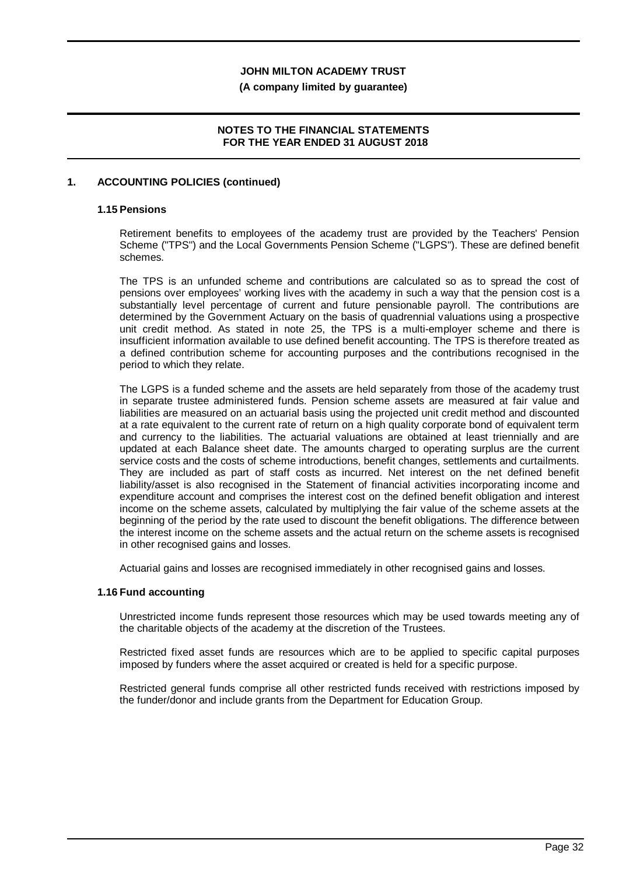**(A company limited by guarantee)**

## **NOTES TO THE FINANCIAL STATEMENTS FOR THE YEAR ENDED 31 AUGUST 2018**

### **1. ACCOUNTING POLICIES (continued)**

#### **1.15 Pensions**

Retirement benefits to employees of the academy trust are provided by the Teachers' Pension Scheme ("TPS") and the Local Governments Pension Scheme ("LGPS"). These are defined benefit schemes.

The TPS is an unfunded scheme and contributions are calculated so as to spread the cost of pensions over employees' working lives with the academy in such a way that the pension cost is a substantially level percentage of current and future pensionable payroll. The contributions are determined by the Government Actuary on the basis of quadrennial valuations using a prospective unit credit method. As stated in note 25, the TPS is a multi-employer scheme and there is insufficient information available to use defined benefit accounting. The TPS is therefore treated as a defined contribution scheme for accounting purposes and the contributions recognised in the period to which they relate.

The LGPS is a funded scheme and the assets are held separately from those of the academy trust in separate trustee administered funds. Pension scheme assets are measured at fair value and liabilities are measured on an actuarial basis using the projected unit credit method and discounted at a rate equivalent to the current rate of return on a high quality corporate bond of equivalent term and currency to the liabilities. The actuarial valuations are obtained at least triennially and are updated at each Balance sheet date. The amounts charged to operating surplus are the current service costs and the costs of scheme introductions, benefit changes, settlements and curtailments. They are included as part of staff costs as incurred. Net interest on the net defined benefit liability/asset is also recognised in the Statement of financial activities incorporating income and expenditure account and comprises the interest cost on the defined benefit obligation and interest income on the scheme assets, calculated by multiplying the fair value of the scheme assets at the beginning of the period by the rate used to discount the benefit obligations. The difference between the interest income on the scheme assets and the actual return on the scheme assets is recognised in other recognised gains and losses.

Actuarial gains and losses are recognised immediately in other recognised gains and losses.

#### **1.16 Fund accounting**

Unrestricted income funds represent those resources which may be used towards meeting any of the charitable objects of the academy at the discretion of the Trustees.

Restricted fixed asset funds are resources which are to be applied to specific capital purposes imposed by funders where the asset acquired or created is held for a specific purpose.

Restricted general funds comprise all other restricted funds received with restrictions imposed by the funder/donor and include grants from the Department for Education Group.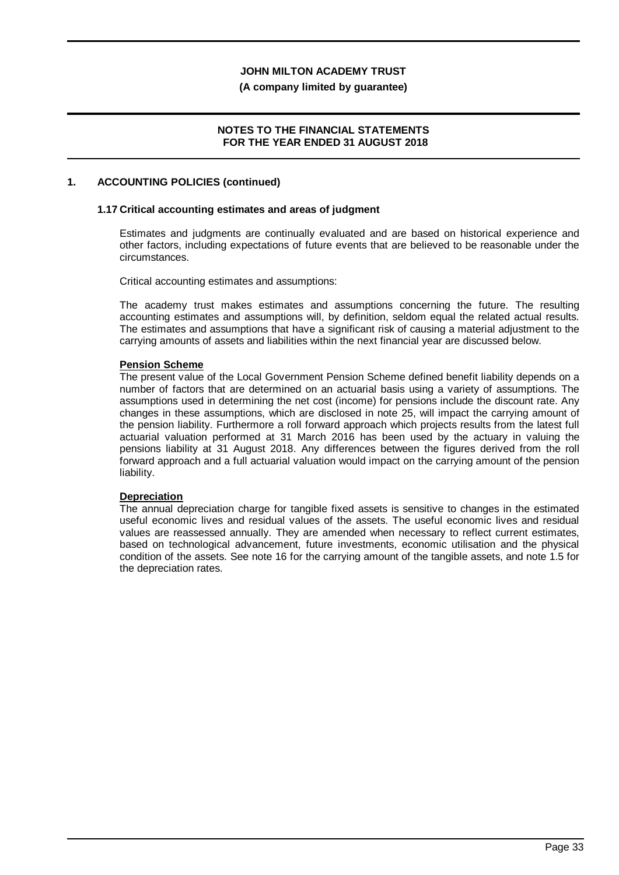#### **(A company limited by guarantee)**

#### **NOTES TO THE FINANCIAL STATEMENTS FOR THE YEAR ENDED 31 AUGUST 2018**

#### **1. ACCOUNTING POLICIES (continued)**

#### **1.17 Critical accounting estimates and areas of judgment**

Estimates and judgments are continually evaluated and are based on historical experience and other factors, including expectations of future events that are believed to be reasonable under the circumstances.

Critical accounting estimates and assumptions:

The academy trust makes estimates and assumptions concerning the future. The resulting accounting estimates and assumptions will, by definition, seldom equal the related actual results. The estimates and assumptions that have a significant risk of causing a material adjustment to the carrying amounts of assets and liabilities within the next financial year are discussed below.

#### **Pension Scheme**

The present value of the Local Government Pension Scheme defined benefit liability depends on a number of factors that are determined on an actuarial basis using a variety of assumptions. The assumptions used in determining the net cost (income) for pensions include the discount rate. Any changes in these assumptions, which are disclosed in note 25, will impact the carrying amount of the pension liability. Furthermore a roll forward approach which projects results from the latest full actuarial valuation performed at 31 March 2016 has been used by the actuary in valuing the pensions liability at 31 August 2018. Any differences between the figures derived from the roll forward approach and a full actuarial valuation would impact on the carrying amount of the pension liability.

## **Depreciation**

The annual depreciation charge for tangible fixed assets is sensitive to changes in the estimated useful economic lives and residual values of the assets. The useful economic lives and residual values are reassessed annually. They are amended when necessary to reflect current estimates, based on technological advancement, future investments, economic utilisation and the physical condition of the assets. See note 16 for the carrying amount of the tangible assets, and note 1.5 for the depreciation rates.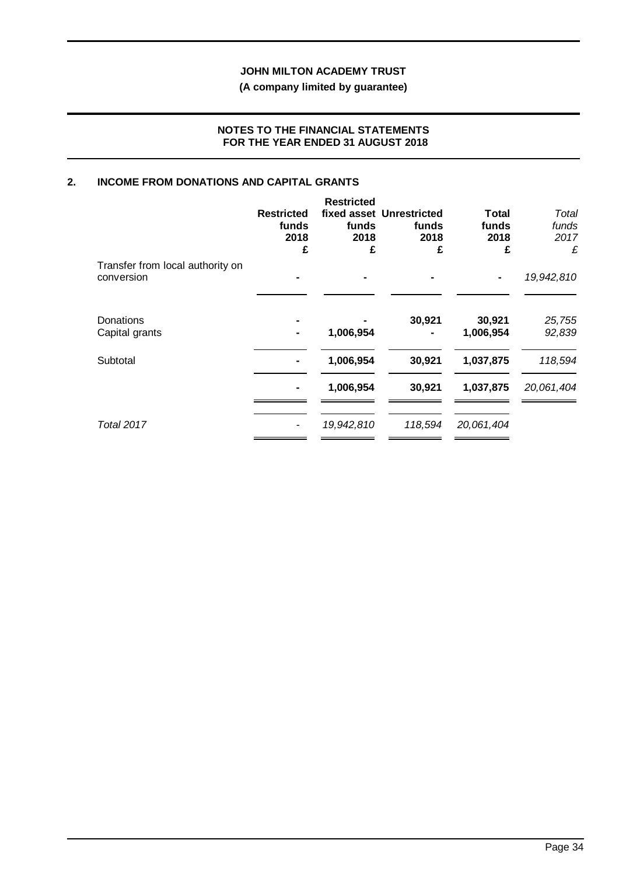# **(A company limited by guarantee)**

#### **NOTES TO THE FINANCIAL STATEMENTS FOR THE YEAR ENDED 31 AUGUST 2018**

## **2. INCOME FROM DONATIONS AND CAPITAL GRANTS**

|                                                | <b>Restricted</b><br>funds<br>2018<br>£ | <b>Restricted</b><br>funds<br>2018<br>£ | fixed asset Unrestricted<br>funds<br>2018<br>£ | Total<br>funds<br>2018<br>£ | Total<br>funds<br>2017<br>£ |
|------------------------------------------------|-----------------------------------------|-----------------------------------------|------------------------------------------------|-----------------------------|-----------------------------|
| Transfer from local authority on<br>conversion |                                         |                                         |                                                |                             | 19,942,810                  |
| Donations<br>Capital grants                    |                                         | 1,006,954                               | 30,921                                         | 30,921<br>1,006,954         | 25,755<br>92,839            |
| Subtotal                                       |                                         | 1,006,954                               | 30,921                                         | 1,037,875                   | 118,594                     |
|                                                |                                         | 1,006,954                               | 30,921                                         | 1,037,875                   | 20,061,404                  |
| <b>Total 2017</b>                              |                                         | 19,942,810                              | 118,594                                        | 20,061,404                  |                             |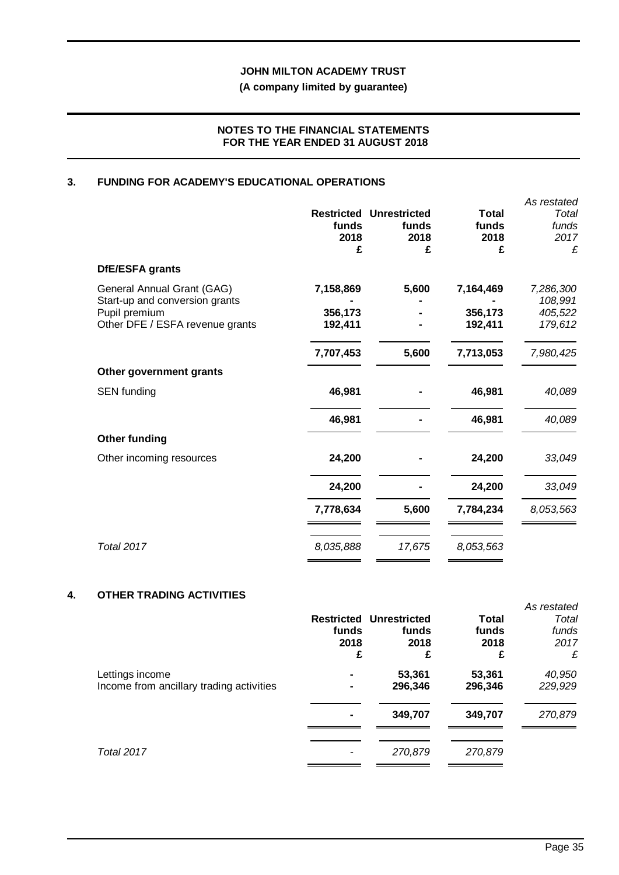## **(A company limited by guarantee)**

## **NOTES TO THE FINANCIAL STATEMENTS FOR THE YEAR ENDED 31 AUGUST 2018**

## **3. FUNDING FOR ACADEMY'S EDUCATIONAL OPERATIONS**

|                                                  |                    |                                                 |                               | As restated            |
|--------------------------------------------------|--------------------|-------------------------------------------------|-------------------------------|------------------------|
|                                                  | funds<br>2018      | <b>Restricted Unrestricted</b><br>funds<br>2018 | <b>Total</b><br>funds<br>2018 | Total<br>funds<br>2017 |
|                                                  | £                  | £                                               | £                             | £                      |
| DfE/ESFA grants                                  |                    |                                                 |                               |                        |
| General Annual Grant (GAG)                       | 7,158,869          | 5,600                                           | 7,164,469                     | 7,286,300              |
| Start-up and conversion grants                   |                    |                                                 |                               | 108,991                |
| Pupil premium<br>Other DFE / ESFA revenue grants | 356,173<br>192,411 |                                                 | 356,173<br>192,411            | 405,522<br>179,612     |
|                                                  |                    |                                                 |                               |                        |
|                                                  | 7,707,453          | 5,600                                           | 7,713,053                     | 7,980,425              |
| Other government grants                          |                    |                                                 |                               |                        |
| <b>SEN</b> funding                               | 46,981             |                                                 | 46,981                        | 40,089                 |
|                                                  | 46,981             |                                                 | 46,981                        | 40,089                 |
| <b>Other funding</b>                             |                    |                                                 |                               |                        |
| Other incoming resources                         | 24,200             |                                                 | 24,200                        | 33,049                 |
|                                                  | 24,200             |                                                 | 24,200                        | 33,049                 |
|                                                  | 7,778,634          | 5,600                                           | 7,784,234                     | 8,053,563              |
|                                                  |                    |                                                 |                               |                        |
| Total 2017                                       | 8,035,888          | 17,675                                          | 8,053,563                     |                        |

## **4. OTHER TRADING ACTIVITIES**

|                                                             | funds<br>2018<br>£ | <b>Restricted Unrestricted</b><br>funds<br>2018<br>£ | Total<br>funds<br>2018<br>£ | As restated<br>Total<br>funds<br>2017<br>£ |
|-------------------------------------------------------------|--------------------|------------------------------------------------------|-----------------------------|--------------------------------------------|
| Lettings income<br>Income from ancillary trading activities |                    | 53,361<br>296,346                                    | 53,361<br>296,346           | 40,950<br>229,929                          |
|                                                             |                    | 349,707                                              | 349,707                     | 270,879                                    |
| <b>Total 2017</b>                                           |                    | 270,879                                              | 270,879                     |                                            |
|                                                             |                    |                                                      |                             |                                            |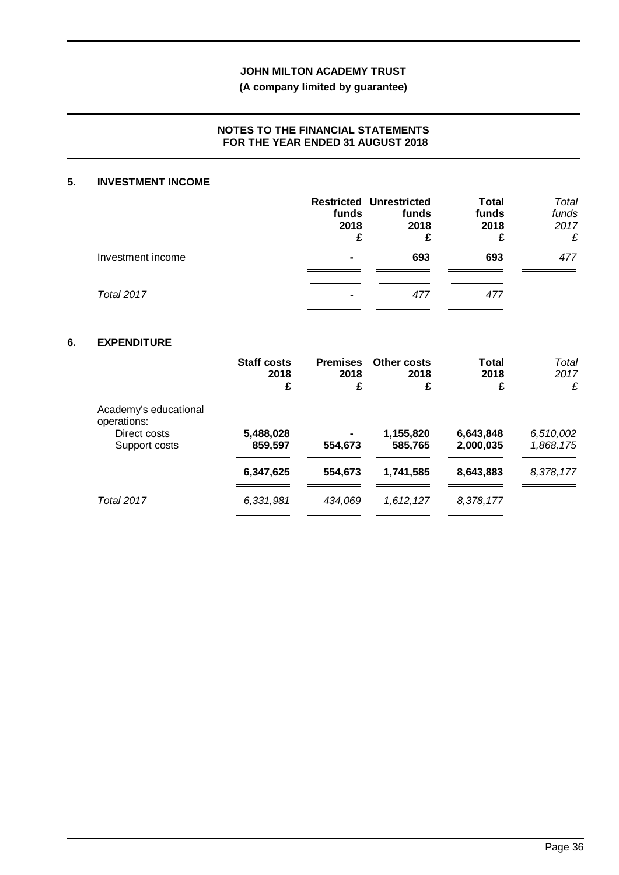# **(A company limited by guarantee)**

## **NOTES TO THE FINANCIAL STATEMENTS FOR THE YEAR ENDED 31 AUGUST 2018**

#### **5. INVESTMENT INCOME**

|                   | funds<br>2018<br>£ | <b>Restricted Unrestricted</b><br>funds<br>2018<br>£ | <b>Total</b><br>funds<br>2018<br>£ | Total<br>funds<br>2017<br>£ |
|-------------------|--------------------|------------------------------------------------------|------------------------------------|-----------------------------|
| Investment income | $\blacksquare$     | 693                                                  | 693                                | 477                         |
| Total 2017        |                    | 477                                                  | 477                                |                             |

## **6. EXPENDITURE**

|                                                                       | <b>Staff costs</b><br>2018<br>£ | <b>Premises</b><br>2018<br>£ | Other costs<br>2018<br>£ | Total<br>2018<br>£     | Total<br>2017<br>£     |
|-----------------------------------------------------------------------|---------------------------------|------------------------------|--------------------------|------------------------|------------------------|
| Academy's educational<br>operations:<br>Direct costs<br>Support costs | 5,488,028<br>859,597            | 554,673                      | 1,155,820<br>585,765     | 6,643,848<br>2,000,035 | 6,510,002<br>1,868,175 |
|                                                                       | 6,347,625                       | 554,673                      | 1,741,585                | 8,643,883              | 8,378,177              |
| <b>Total 2017</b>                                                     | 6,331,981                       | 434,069                      | 1,612,127                | 8,378,177              |                        |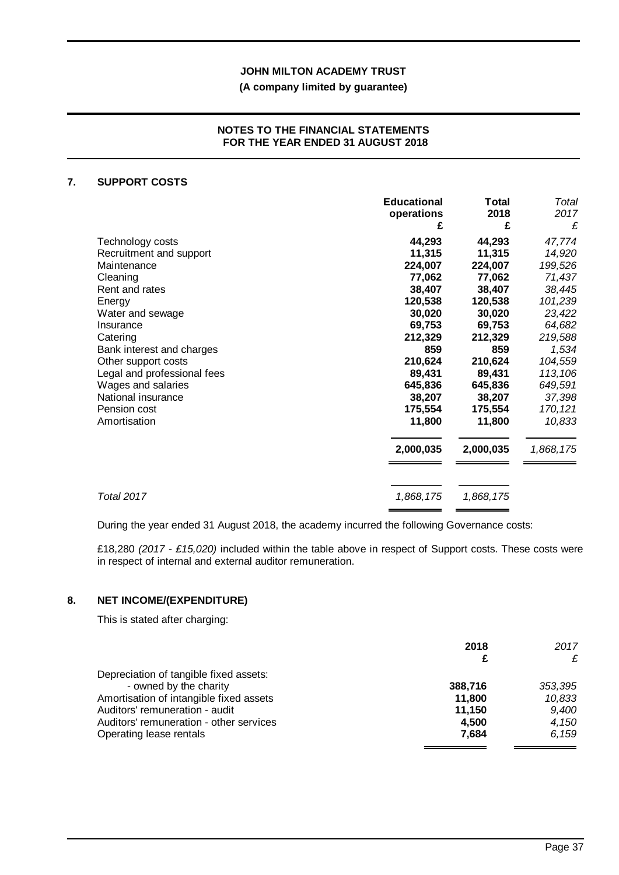## **(A company limited by guarantee)**

#### **NOTES TO THE FINANCIAL STATEMENTS FOR THE YEAR ENDED 31 AUGUST 2018**

#### **7. SUPPORT COSTS**

|                             | <b>Educational</b><br>operations | Total<br>2018 | Total<br>2017 |
|-----------------------------|----------------------------------|---------------|---------------|
|                             | £                                | £             | £             |
| Technology costs            | 44,293                           | 44,293        | 47,774        |
| Recruitment and support     | 11,315                           | 11,315        | 14,920        |
| Maintenance                 | 224,007                          | 224,007       | 199,526       |
| Cleaning                    | 77,062                           | 77,062        | 71,437        |
| Rent and rates              | 38,407                           | 38,407        | 38,445        |
| Energy                      | 120,538                          | 120,538       | 101,239       |
| Water and sewage            | 30,020                           | 30,020        | 23,422        |
| Insurance                   | 69,753                           | 69,753        | 64,682        |
| Catering                    | 212,329                          | 212,329       | 219,588       |
| Bank interest and charges   | 859                              | 859           | 1,534         |
| Other support costs         | 210,624                          | 210,624       | 104,559       |
| Legal and professional fees | 89,431                           | 89,431        | 113,106       |
| Wages and salaries          | 645,836                          | 645,836       | 649,591       |
| National insurance          | 38,207                           | 38,207        | 37,398        |
| Pension cost                | 175,554                          | 175,554       | 170, 121      |
| Amortisation                | 11,800                           | 11,800        | 10,833        |
|                             | 2,000,035                        | 2,000,035     | 1,868,175     |
|                             |                                  |               |               |
| <b>Total 2017</b>           | 1,868,175                        | 1,868,175     |               |

During the year ended 31 August 2018, the academy incurred the following Governance costs:

£18,280 *(2017 - £15,020)* included within the table above in respect of Support costs. These costs were in respect of internal and external auditor remuneration.

## **8. NET INCOME/(EXPENDITURE)**

This is stated after charging:

|                                         | 2018    | 2017<br>£ |
|-----------------------------------------|---------|-----------|
| Depreciation of tangible fixed assets:  |         |           |
| - owned by the charity                  | 388,716 | 353,395   |
| Amortisation of intangible fixed assets | 11,800  | 10,833    |
| Auditors' remuneration - audit          | 11,150  | 9,400     |
| Auditors' remuneration - other services | 4,500   | 4,150     |
| Operating lease rentals                 | 7,684   | 6.159     |
|                                         |         |           |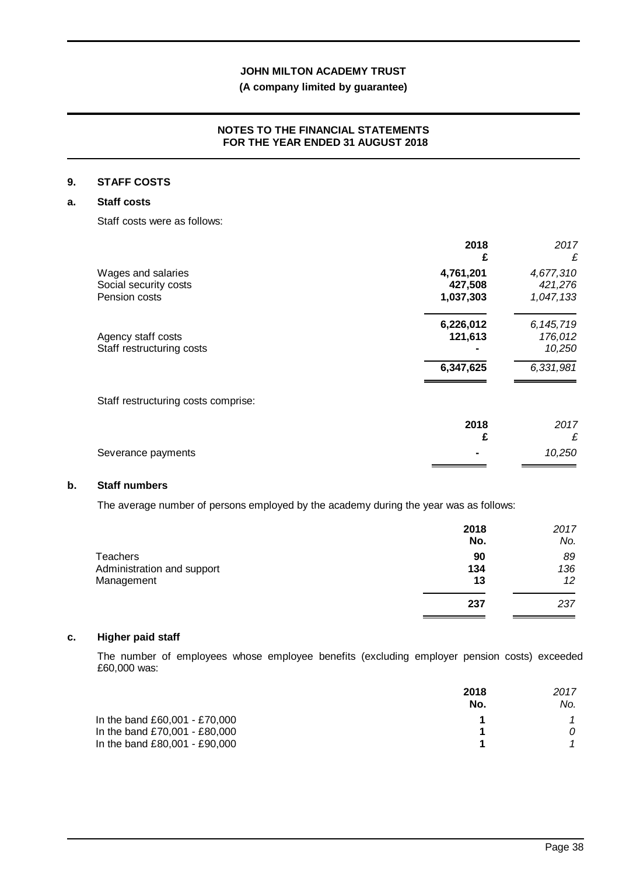## **(A company limited by guarantee)**

## **NOTES TO THE FINANCIAL STATEMENTS FOR THE YEAR ENDED 31 AUGUST 2018**

## **9. STAFF COSTS**

#### **a. Staff costs**

Staff costs were as follows:

|                                     | 2018<br>£ | 2017<br>£   |
|-------------------------------------|-----------|-------------|
| Wages and salaries                  | 4,761,201 | 4,677,310   |
| Social security costs               | 427,508   | 421,276     |
| Pension costs                       | 1,037,303 | 1,047,133   |
|                                     | 6,226,012 | 6, 145, 719 |
| Agency staff costs                  | 121,613   | 176,012     |
| Staff restructuring costs           |           | 10,250      |
|                                     | 6,347,625 | 6,331,981   |
| Staff restructuring costs comprise: |           |             |
|                                     | 2018      | 2017        |

| Severance payments | 10,250 |
|--------------------|--------|
|                    |        |

## **b. Staff numbers**

The average number of persons employed by the academy during the year was as follows:

|                                                             | 2018<br>No.     | 2017<br>No.     |
|-------------------------------------------------------------|-----------------|-----------------|
| <b>Teachers</b><br>Administration and support<br>Management | 90<br>134<br>13 | 89<br>136<br>12 |
|                                                             | 237             | 237             |

#### **c. Higher paid staff**

The number of employees whose employee benefits (excluding employer pension costs) exceeded £60,000 was:

|                               | 2018<br>No. | 2017<br>No. |
|-------------------------------|-------------|-------------|
| In the band £60,001 - £70,000 |             |             |
| In the band £70,001 - £80,000 |             |             |
| In the band £80,001 - £90,000 |             |             |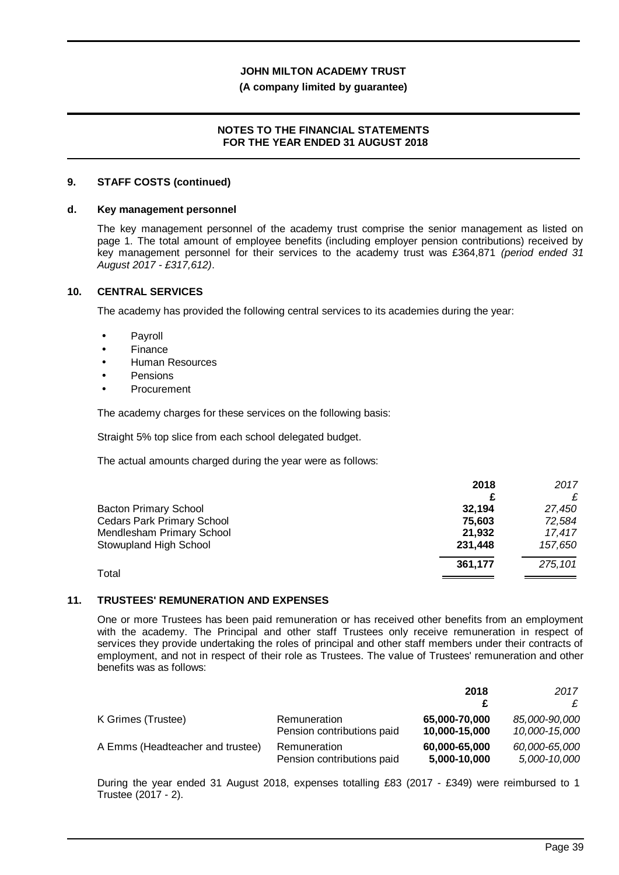#### **(A company limited by guarantee)**

#### **NOTES TO THE FINANCIAL STATEMENTS FOR THE YEAR ENDED 31 AUGUST 2018**

#### **9. STAFF COSTS (continued)**

#### **d. Key management personnel**

The key management personnel of the academy trust comprise the senior management as listed on page 1. The total amount of employee benefits (including employer pension contributions) received by key management personnel for their services to the academy trust was £364,871 *(period ended 31 August 2017 - £317,612)*.

#### **10. CENTRAL SERVICES**

The academy has provided the following central services to its academies during the year:

- Payroll l,
- Finance
- Human Resources
- Pensions
- Procurement

The academy charges for these services on the following basis:

Straight 5% top slice from each school delegated budget.

The actual amounts charged during the year were as follows:

|                                   | 2018    | 2017    |
|-----------------------------------|---------|---------|
|                                   |         |         |
| <b>Bacton Primary School</b>      | 32,194  | 27,450  |
| <b>Cedars Park Primary School</b> | 75.603  | 72.584  |
| Mendlesham Primary School         | 21,932  | 17.417  |
| Stowupland High School            | 231,448 | 157,650 |
|                                   | 361.177 | 275,101 |
| Total                             |         |         |

#### **11. TRUSTEES' REMUNERATION AND EXPENSES**

One or more Trustees has been paid remuneration or has received other benefits from an employment with the academy. The Principal and other staff Trustees only receive remuneration in respect of services they provide undertaking the roles of principal and other staff members under their contracts of employment, and not in respect of their role as Trustees. The value of Trustees' remuneration and other benefits was as follows:

|                                  |                                            | 2018                          | 2017                          |
|----------------------------------|--------------------------------------------|-------------------------------|-------------------------------|
|                                  |                                            |                               | £                             |
| K Grimes (Trustee)               | Remuneration                               | 65,000-70,000                 | 85,000-90,000                 |
|                                  | Pension contributions paid                 | 10,000-15,000                 | 10,000-15,000                 |
| A Emms (Headteacher and trustee) | Remuneration<br>Pension contributions paid | 60,000-65,000<br>5,000-10,000 | 60,000-65,000<br>5,000-10,000 |

During the year ended 31 August 2018, expenses totalling £83 (2017 - £349) were reimbursed to 1 Trustee (2017 - 2).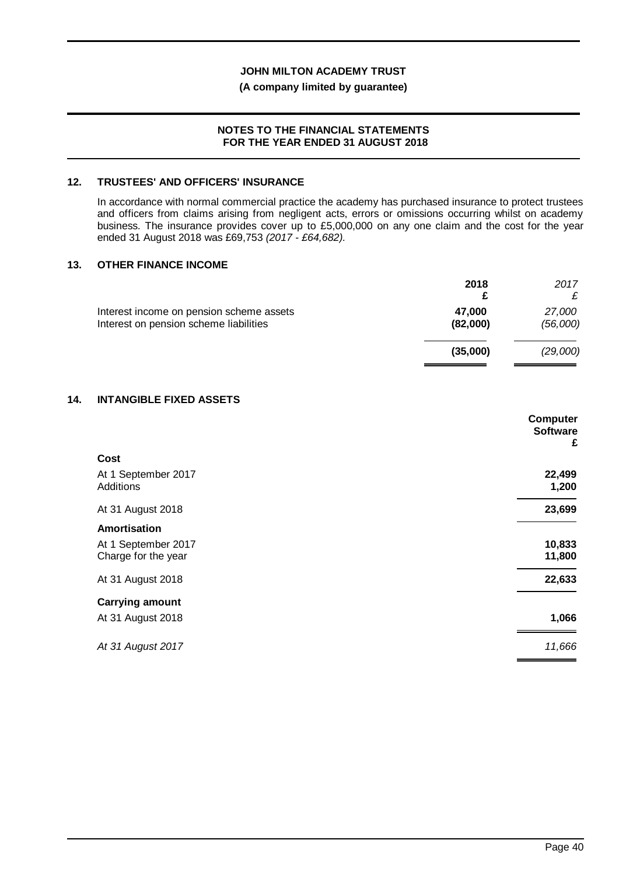#### **(A company limited by guarantee)**

#### **NOTES TO THE FINANCIAL STATEMENTS FOR THE YEAR ENDED 31 AUGUST 2018**

### **12. TRUSTEES' AND OFFICERS' INSURANCE**

In accordance with normal commercial practice the academy has purchased insurance to protect trustees and officers from claims arising from negligent acts, errors or omissions occurring whilst on academy business. The insurance provides cover up to £5,000,000 on any one claim and the cost for the year ended 31 August 2018 was £69,753 *(2017 - £64,682).*

#### **13. OTHER FINANCE INCOME**

|                                                                                    | 2018               | 2017               |
|------------------------------------------------------------------------------------|--------------------|--------------------|
| Interest income on pension scheme assets<br>Interest on pension scheme liabilities | 47,000<br>(82,000) | 27,000<br>(56,000) |
|                                                                                    | (35,000)           | (29,000)           |

#### **14. INTANGIBLE FIXED ASSETS**

|                                            | Computer<br><b>Software</b><br>£ |
|--------------------------------------------|----------------------------------|
| Cost                                       |                                  |
| At 1 September 2017<br>Additions           | 22,499<br>1,200                  |
| At 31 August 2018                          | 23,699                           |
| Amortisation                               |                                  |
| At 1 September 2017<br>Charge for the year | 10,833<br>11,800                 |
| At 31 August 2018                          | 22,633                           |
| <b>Carrying amount</b>                     |                                  |
| At 31 August 2018                          | 1,066                            |
| At 31 August 2017                          | 11,666                           |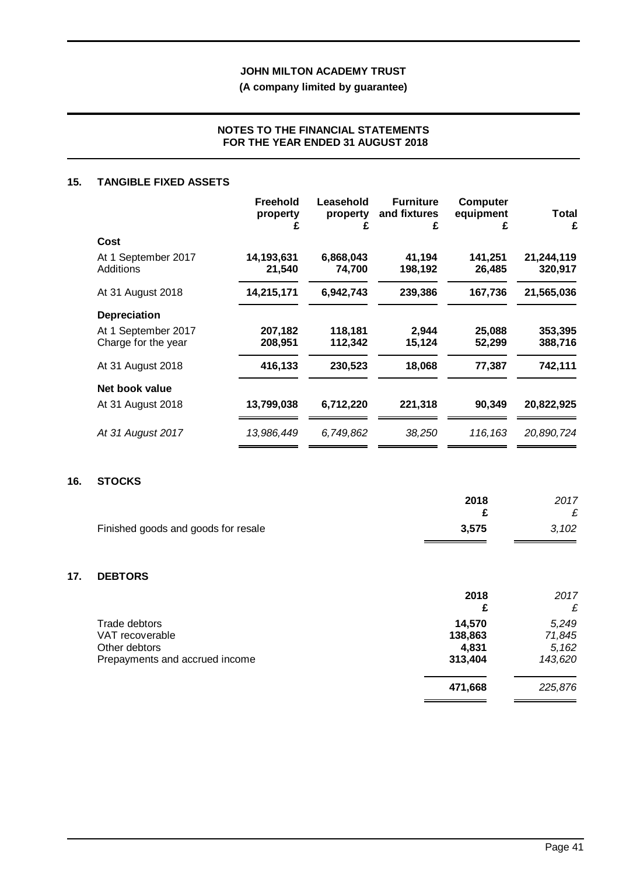**(A company limited by guarantee)**

## **NOTES TO THE FINANCIAL STATEMENTS FOR THE YEAR ENDED 31 AUGUST 2018**

#### **15. TANGIBLE FIXED ASSETS**

|                                            | <b>Freehold</b><br>property<br>Ł | Leasehold<br>property<br>£ | <b>Furniture</b><br>and fixtures<br>£ | <b>Computer</b><br>equipment<br>£ | Total<br>£            |
|--------------------------------------------|----------------------------------|----------------------------|---------------------------------------|-----------------------------------|-----------------------|
| Cost                                       |                                  |                            |                                       |                                   |                       |
| At 1 September 2017<br>Additions           | 14,193,631<br>21,540             | 6,868,043<br>74,700        | 41,194<br>198,192                     | 141,251<br>26,485                 | 21,244,119<br>320,917 |
| At 31 August 2018                          | 14,215,171                       | 6,942,743                  | 239,386                               | 167,736                           | 21,565,036            |
| <b>Depreciation</b>                        |                                  |                            |                                       |                                   |                       |
| At 1 September 2017<br>Charge for the year | 207,182<br>208,951               | 118,181<br>112,342         | 2,944<br>15,124                       | 25,088<br>52,299                  | 353,395<br>388,716    |
| At 31 August 2018                          | 416,133                          | 230,523                    | 18,068                                | 77,387                            | 742,111               |
| Net book value                             |                                  |                            |                                       |                                   |                       |
| At 31 August 2018                          | 13,799,038                       | 6,712,220                  | 221,318                               | 90,349                            | 20,822,925            |
| At 31 August 2017                          | 13,986,449                       | 6,749,862                  | 38,250                                | 116,163                           | 20,890,724            |

#### **16. STOCKS**

**17.** 

|                                     | 2018<br>£ | 2017<br>£ |
|-------------------------------------|-----------|-----------|
| Finished goods and goods for resale | 3,575     | 3,102     |
|                                     |           |           |
| <b>DEBTORS</b>                      |           |           |
|                                     | 2018      | 2017      |
|                                     | £         | £         |
| Trade debtors                       | 14,570    | 5,249     |
| VAT recoverable                     | 138,863   | 71,845    |

| VAT recoverable                | 138,863 | 71.845  |
|--------------------------------|---------|---------|
| Other debtors                  | 4.831   | 5.162   |
| Prepayments and accrued income | 313.404 | 143.620 |
|                                | 471.668 | 225.876 |

 $\overline{a}$ 

 $\overline{a}$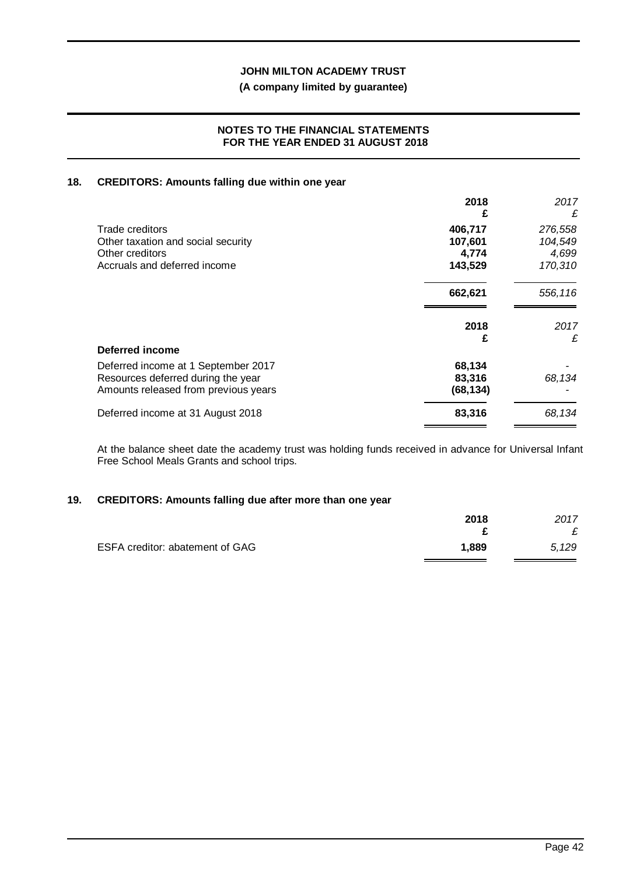## **(A company limited by guarantee)**

#### **NOTES TO THE FINANCIAL STATEMENTS FOR THE YEAR ENDED 31 AUGUST 2018**

#### **18. CREDITORS: Amounts falling due within one year**

|                                      | 2018<br>£ | 2017<br>£ |
|--------------------------------------|-----------|-----------|
| Trade creditors                      | 406,717   | 276,558   |
| Other taxation and social security   | 107,601   | 104,549   |
| Other creditors                      | 4,774     | 4,699     |
| Accruals and deferred income         | 143,529   | 170,310   |
|                                      | 662,621   | 556,116   |
|                                      | 2018      | 2017      |
|                                      | £         | £         |
| Deferred income                      |           |           |
| Deferred income at 1 September 2017  | 68,134    |           |
| Resources deferred during the year   | 83,316    | 68,134    |
| Amounts released from previous years | (68, 134) |           |
| Deferred income at 31 August 2018    | 83,316    | 68,134    |

At the balance sheet date the academy trust was holding funds received in advance for Universal Infant Free School Meals Grants and school trips.

#### **19. CREDITORS: Amounts falling due after more than one year**

|                                 | 2018  | 2017  |
|---------------------------------|-------|-------|
| ESFA creditor: abatement of GAG | 1,889 | 5.129 |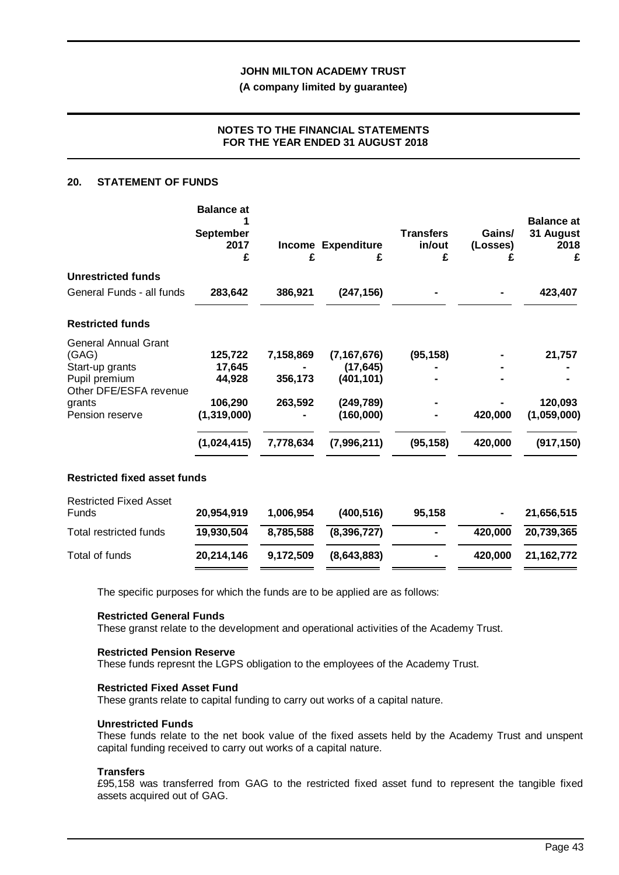**(A company limited by guarantee)**

## **NOTES TO THE FINANCIAL STATEMENTS FOR THE YEAR ENDED 31 AUGUST 2018**

#### **20. STATEMENT OF FUNDS**

|                                     | <b>Balance at</b><br><b>September</b> |           |                         | <b>Transfers</b> | Gains/   | <b>Balance at</b><br>31 August |
|-------------------------------------|---------------------------------------|-----------|-------------------------|------------------|----------|--------------------------------|
|                                     | 2017<br>£                             | £         | Income Expenditure<br>£ | in/out<br>£      | (Losses) | 2018<br>£                      |
| <b>Unrestricted funds</b>           |                                       |           |                         |                  |          |                                |
| General Funds - all funds           | 283,642                               | 386,921   | (247, 156)              |                  |          | 423,407                        |
| <b>Restricted funds</b>             |                                       |           |                         |                  |          |                                |
| <b>General Annual Grant</b>         |                                       |           |                         |                  |          |                                |
| (GAG)                               | 125,722                               | 7,158,869 | (7, 167, 676)           | (95, 158)        |          | 21,757                         |
| Start-up grants<br>Pupil premium    | 17,645<br>44,928                      | 356,173   | (17, 645)<br>(401, 101) |                  |          |                                |
| Other DFE/ESFA revenue              |                                       |           |                         |                  |          |                                |
| grants                              | 106,290                               | 263,592   | (249, 789)              |                  |          | 120,093                        |
| Pension reserve                     | (1, 319, 000)                         |           | (160,000)               |                  | 420,000  | (1,059,000)                    |
|                                     | (1,024,415)                           | 7,778,634 | (7,996,211)             | (95, 158)        | 420,000  | (917, 150)                     |
| <b>Restricted fixed asset funds</b> |                                       |           |                         |                  |          |                                |
| <b>Restricted Fixed Asset</b>       |                                       |           |                         |                  |          |                                |
| Funds                               | 20,954,919                            | 1,006,954 | (400, 516)              | 95,158           |          | 21,656,515                     |
| <b>Total restricted funds</b>       | 19,930,504                            | 8,785,588 | (8, 396, 727)           |                  | 420,000  | 20,739,365                     |
| Total of funds                      | 20,214,146                            | 9,172,509 | (8,643,883)             |                  | 420,000  | 21, 162, 772                   |

The specific purposes for which the funds are to be applied are as follows:

#### **Restricted General Funds**

These granst relate to the development and operational activities of the Academy Trust.

#### **Restricted Pension Reserve**

These funds represnt the LGPS obligation to the employees of the Academy Trust.

#### **Restricted Fixed Asset Fund**

These grants relate to capital funding to carry out works of a capital nature.

#### **Unrestricted Funds**

These funds relate to the net book value of the fixed assets held by the Academy Trust and unspent capital funding received to carry out works of a capital nature.

### **Transfers**

£95,158 was transferred from GAG to the restricted fixed asset fund to represent the tangible fixed assets acquired out of GAG.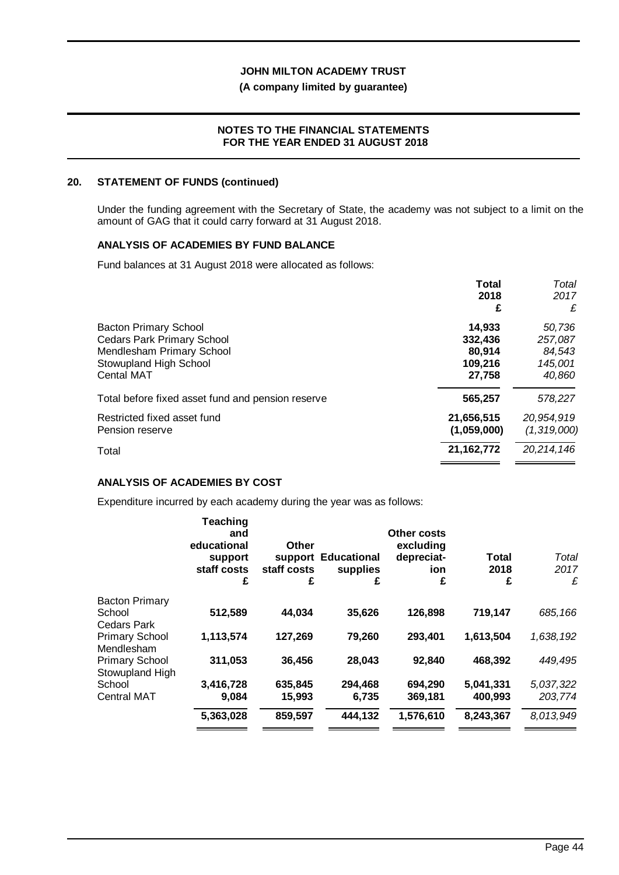#### **(A company limited by guarantee)**

#### **NOTES TO THE FINANCIAL STATEMENTS FOR THE YEAR ENDED 31 AUGUST 2018**

#### **20. STATEMENT OF FUNDS (continued)**

Under the funding agreement with the Secretary of State, the academy was not subject to a limit on the amount of GAG that it could carry forward at 31 August 2018.

#### **ANALYSIS OF ACADEMIES BY FUND BALANCE**

Fund balances at 31 August 2018 were allocated as follows:

|                                                                                                                                               | <b>Total</b><br>2018<br>£                        | Total<br>2017<br>£                               |
|-----------------------------------------------------------------------------------------------------------------------------------------------|--------------------------------------------------|--------------------------------------------------|
| <b>Bacton Primary School</b><br><b>Cedars Park Primary School</b><br>Mendlesham Primary School<br>Stowupland High School<br><b>Cental MAT</b> | 14.933<br>332,436<br>80,914<br>109,216<br>27,758 | 50,736<br>257,087<br>84,543<br>145,001<br>40,860 |
| Total before fixed asset fund and pension reserve                                                                                             | 565,257                                          | 578,227                                          |
| Restricted fixed asset fund<br>Pension reserve                                                                                                | 21,656,515<br>(1,059,000)                        | 20,954,919<br>(1, 319, 000)                      |
| Total                                                                                                                                         | 21, 162, 772                                     | 20,214,146                                       |

#### **ANALYSIS OF ACADEMIES BY COST**

Expenditure incurred by each academy during the year was as follows:

|                                     | <b>Teaching</b><br>and<br>educational<br>support<br>staff costs<br>£ | Other<br>staff costs<br>£ | support Educational<br>supplies<br>£ | Other costs<br>excluding<br>depreciat-<br>ion<br>£ | <b>Total</b><br>2018<br>£ | Total<br>2017<br>£ |
|-------------------------------------|----------------------------------------------------------------------|---------------------------|--------------------------------------|----------------------------------------------------|---------------------------|--------------------|
| <b>Bacton Primary</b>               |                                                                      |                           |                                      |                                                    |                           |                    |
| School                              | 512,589                                                              | 44,034                    | 35,626                               | 126,898                                            | 719,147                   | 685,166            |
| Cedars Park                         |                                                                      |                           |                                      |                                                    |                           |                    |
| <b>Primary School</b><br>Mendlesham | 1,113,574                                                            | 127,269                   | 79,260                               | 293,401                                            | 1,613,504                 | 1,638,192          |
| <b>Primary School</b>               | 311,053                                                              | 36,456                    | 28,043                               | 92,840                                             | 468,392                   | 449,495            |
| Stowupland High                     |                                                                      |                           |                                      |                                                    |                           |                    |
| School                              | 3,416,728                                                            | 635,845                   | 294,468                              | 694,290                                            | 5.041.331                 | 5,037,322          |
| <b>Central MAT</b>                  | 9,084                                                                | 15,993                    | 6,735                                | 369,181                                            | 400,993                   | 203,774            |
|                                     | 5,363,028                                                            | 859,597                   | 444,132                              | 1,576,610                                          | 8,243,367                 | 8,013,949          |
|                                     |                                                                      |                           |                                      |                                                    |                           |                    |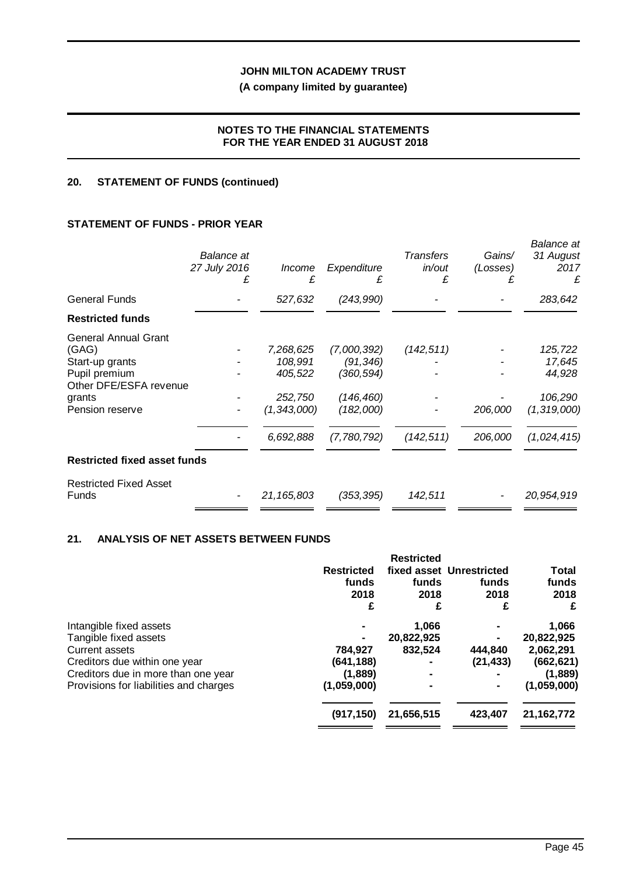## **(A company limited by guarantee)**

## **NOTES TO THE FINANCIAL STATEMENTS FOR THE YEAR ENDED 31 AUGUST 2018**

## **20. STATEMENT OF FUNDS (continued)**

## **STATEMENT OF FUNDS - PRIOR YEAR**

|                                                                                                                                 | Balance at<br>27 July 2016<br>£ | <i>Income</i><br>£                                                       | Expenditure<br>£                                                                | <b>Transfers</b><br>in/out<br>£ | Gains/<br>(Losses) | <b>Balance</b> at<br>31 August<br>2017<br>£                            |
|---------------------------------------------------------------------------------------------------------------------------------|---------------------------------|--------------------------------------------------------------------------|---------------------------------------------------------------------------------|---------------------------------|--------------------|------------------------------------------------------------------------|
| <b>General Funds</b>                                                                                                            |                                 | 527,632                                                                  | (243,990)                                                                       |                                 |                    | 283,642                                                                |
| <b>Restricted funds</b>                                                                                                         |                                 |                                                                          |                                                                                 |                                 |                    |                                                                        |
| <b>General Annual Grant</b><br>(GAG)<br>Start-up grants<br>Pupil premium<br>Other DFE/ESFA revenue<br>grants<br>Pension reserve |                                 | 7,268,625<br>108,991<br>405,522<br>252,750<br>(1, 343, 000)<br>6,692,888 | (7,000,392)<br>(91,346)<br>(360, 594)<br>(146, 460)<br>(182,000)<br>(7,780,792) | (142, 511)<br>(142, 511)        | 206,000<br>206,000 | 125,722<br>17,645<br>44,928<br>106,290<br>(1, 319, 000)<br>(1,024,415) |
| <b>Restricted fixed asset funds</b>                                                                                             |                                 |                                                                          |                                                                                 |                                 |                    |                                                                        |
| <b>Restricted Fixed Asset</b><br>Funds                                                                                          |                                 | 21,165,803                                                               | (353, 395)                                                                      | 142,511                         |                    | 20,954,919                                                             |

## **21. ANALYSIS OF NET ASSETS BETWEEN FUNDS**

|                                        |                   | <b>Restricted</b> |                          |              |
|----------------------------------------|-------------------|-------------------|--------------------------|--------------|
|                                        | <b>Restricted</b> |                   | fixed asset Unrestricted | Total        |
|                                        | funds             | funds             | funds                    | funds        |
|                                        | 2018              | 2018              | 2018                     | 2018         |
|                                        | £                 | £                 | £                        | £            |
| Intangible fixed assets                |                   | 1,066             |                          | 1,066        |
| Tangible fixed assets                  |                   | 20,822,925        |                          | 20,822,925   |
| Current assets                         | 784,927           | 832,524           | 444,840                  | 2,062,291    |
| Creditors due within one year          | (641, 188)        |                   | (21, 433)                | (662, 621)   |
| Creditors due in more than one year    | (1,889)           |                   |                          | (1,889)      |
| Provisions for liabilities and charges | (1,059,000)       |                   |                          | (1,059,000)  |
|                                        | (917, 150)        | 21,656,515        | 423,407                  | 21, 162, 772 |
|                                        |                   |                   |                          |              |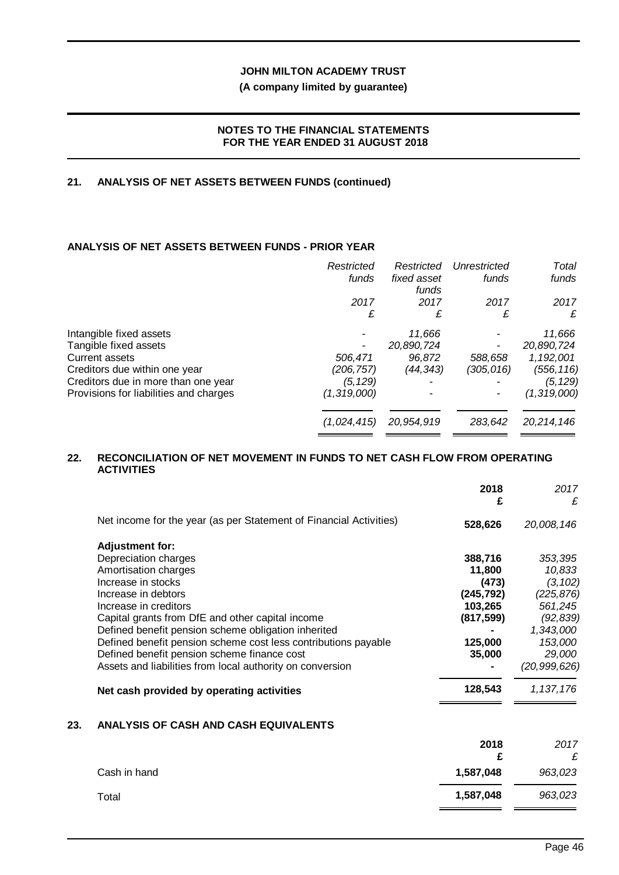## **(A company limited by guarantee)**

#### **NOTES TO THE FINANCIAL STATEMENTS FOR THE YEAR ENDED 31 AUGUST 2018**

#### **21. ANALYSIS OF NET ASSETS BETWEEN FUNDS (continued)**

## **ANALYSIS OF NET ASSETS BETWEEN FUNDS - PRIOR YEAR**

|                                        | Restricted  | Restricted           | Unrestricted | Total         |
|----------------------------------------|-------------|----------------------|--------------|---------------|
|                                        | funds       | fixed asset<br>funds | funds        | funds         |
|                                        | 2017        | 2017                 | 2017         | 2017          |
|                                        | £           | £                    | £            | £             |
| Intangible fixed assets                |             | 11,666               |              | 11,666        |
| Tangible fixed assets                  |             | 20,890,724           |              | 20,890,724    |
| Current assets                         | 506,471     | 96,872               | 588,658      | 1,192,001     |
| Creditors due within one year          | (206, 757)  | (44,343)             | (305,016)    | (556, 116)    |
| Creditors due in more than one year    | (5,129)     |                      |              | (5, 129)      |
| Provisions for liabilities and charges | (1,319,000) |                      |              | (1, 319, 000) |
|                                        | (1,024,415) | 20,954,919           | 283.642      | 20,214,146    |
|                                        |             |                      |              |               |

#### **22. RECONCILIATION OF NET MOVEMENT IN FUNDS TO NET CASH FLOW FROM OPERATING ACTIVITIES**

|                                                                    | 2018<br>£  | 2017<br>£      |
|--------------------------------------------------------------------|------------|----------------|
| Net income for the year (as per Statement of Financial Activities) | 528,626    | 20,008,146     |
| <b>Adjustment for:</b>                                             |            |                |
| Depreciation charges                                               | 388,716    | 353,395        |
| Amortisation charges                                               | 11,800     | 10,833         |
| Increase in stocks                                                 | (473)      | (3, 102)       |
| Increase in debtors                                                | (245, 792) | (225, 876)     |
| Increase in creditors                                              | 103,265    | 561,245        |
| Capital grants from DfE and other capital income                   | (817, 599) | (92, 839)      |
| Defined benefit pension scheme obligation inherited                |            | 1,343,000      |
| Defined benefit pension scheme cost less contributions payable     | 125,000    | 153,000        |
| Defined benefit pension scheme finance cost                        | 35,000     | 29,000         |
| Assets and liabilities from local authority on conversion          |            | (20, 999, 626) |
| Net cash provided by operating activities                          | 128,543    | 1, 137, 176    |
|                                                                    |            |                |

## **23. ANALYSIS OF CASH AND CASH EQUIVALENTS**

|              | 2018<br>£ | 2017<br>£ |
|--------------|-----------|-----------|
| Cash in hand | 1,587,048 | 963,023   |
| Total        | 1,587,048 | 963,023   |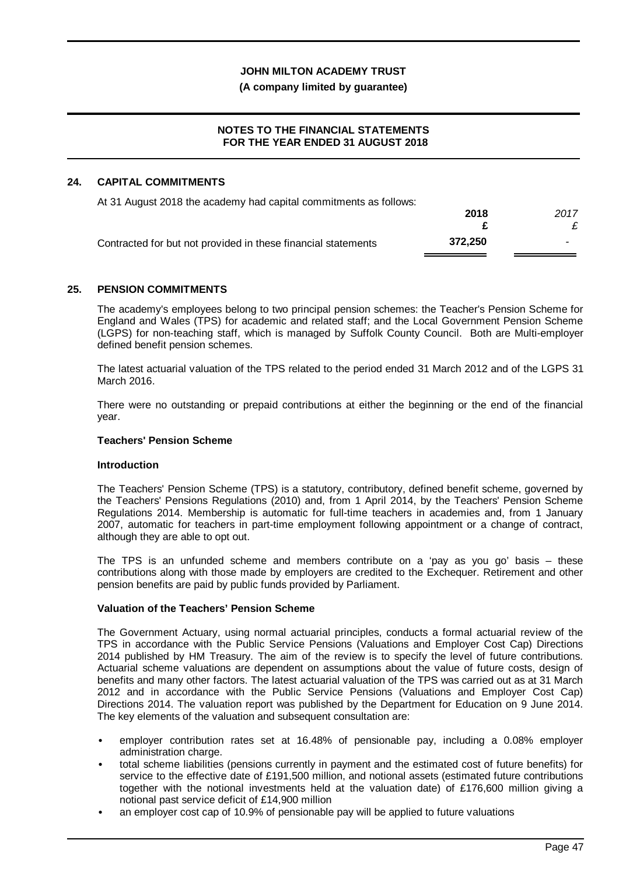#### **(A company limited by guarantee)**

#### **NOTES TO THE FINANCIAL STATEMENTS FOR THE YEAR ENDED 31 AUGUST 2018**

#### **24. CAPITAL COMMITMENTS**

| At 31 August 2018 the academy had capital commitments as follows: |         |      |
|-------------------------------------------------------------------|---------|------|
|                                                                   | 2018    | 2017 |
|                                                                   |         |      |
| Contracted for but not provided in these financial statements     | 372.250 | -    |

#### **25. PENSION COMMITMENTS**

The academy's employees belong to two principal pension schemes: the Teacher's Pension Scheme for England and Wales (TPS) for academic and related staff; and the Local Government Pension Scheme (LGPS) for non-teaching staff, which is managed by Suffolk County Council. Both are Multi-employer defined benefit pension schemes.

The latest actuarial valuation of the TPS related to the period ended 31 March 2012 and of the LGPS 31 March 2016.

There were no outstanding or prepaid contributions at either the beginning or the end of the financial year.

#### **Teachers' Pension Scheme**

#### **Introduction**

The Teachers' Pension Scheme (TPS) is a statutory, contributory, defined benefit scheme, governed by the Teachers' Pensions Regulations (2010) and, from 1 April 2014, by the Teachers' Pension Scheme Regulations 2014. Membership is automatic for full-time teachers in academies and, from 1 January 2007, automatic for teachers in part-time employment following appointment or a change of contract, although they are able to opt out.

The TPS is an unfunded scheme and members contribute on a 'pay as you go' basis – these contributions along with those made by employers are credited to the Exchequer. Retirement and other pension benefits are paid by public funds provided by Parliament.

### **Valuation of the Teachers' Pension Scheme**

The Government Actuary, using normal actuarial principles, conducts a formal actuarial review of the TPS in accordance with the Public Service Pensions (Valuations and Employer Cost Cap) Directions 2014 published by HM Treasury. The aim of the review is to specify the level of future contributions. Actuarial scheme valuations are dependent on assumptions about the value of future costs, design of benefits and many other factors. The latest actuarial valuation of the TPS was carried out as at 31 March 2012 and in accordance with the Public Service Pensions (Valuations and Employer Cost Cap) Directions 2014. The valuation report was published by the Department for Education on 9 June 2014. The key elements of the valuation and subsequent consultation are:

- employer contribution rates set at 16.48% of pensionable pay, including a 0.08% employer administration charge.
- total scheme liabilities (pensions currently in payment and the estimated cost of future benefits) for service to the effective date of £191,500 million, and notional assets (estimated future contributions together with the notional investments held at the valuation date) of £176,600 million giving a notional past service deficit of £14,900 million
- an employer cost cap of 10.9% of pensionable pay will be applied to future valuations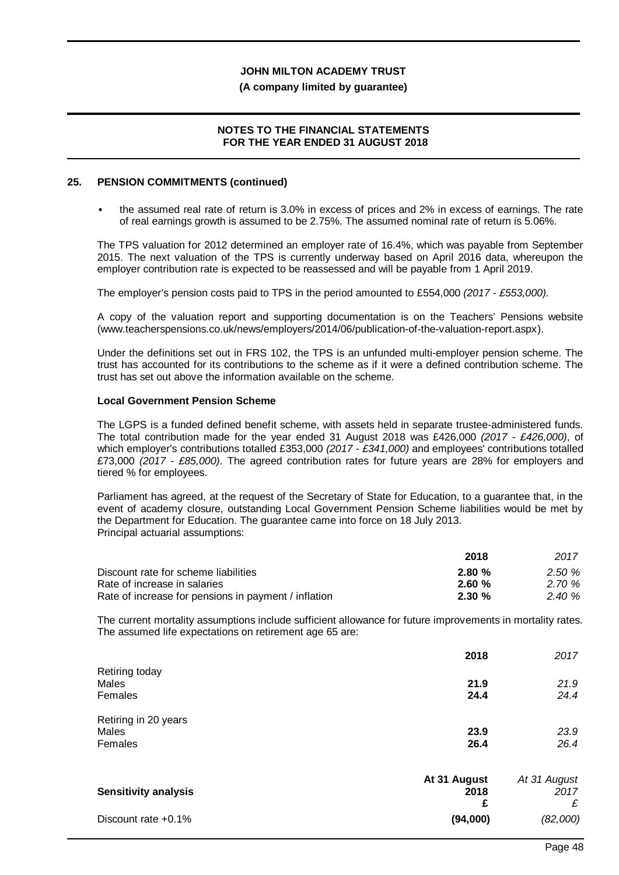#### **(A company limited by guarantee)**

#### **NOTES TO THE FINANCIAL STATEMENTS FOR THE YEAR ENDED 31 AUGUST 2018**

#### **25. PENSION COMMITMENTS (continued)**

the assumed real rate of return is 3.0% in excess of prices and 2% in excess of earnings. The rate of real earnings growth is assumed to be 2.75%. The assumed nominal rate of return is 5.06%.

The TPS valuation for 2012 determined an employer rate of 16.4%, which was payable from September 2015. The next valuation of the TPS is currently underway based on April 2016 data, whereupon the employer contribution rate is expected to be reassessed and will be payable from 1 April 2019.

The employer's pension costs paid to TPS in the period amounted to £554,000 *(2017 - £553,000).*

A copy of the valuation report and supporting documentation is on the Teachers' Pensions website (www.teacherspensions.co.uk/news/employers/2014/06/publication-of-the-valuation-report.aspx).

Under the definitions set out in FRS 102, the TPS is an unfunded multi-employer pension scheme. The trust has accounted for its contributions to the scheme as if it were a defined contribution scheme. The trust has set out above the information available on the scheme.

#### **Local Government Pension Scheme**

The LGPS is a funded defined benefit scheme, with assets held in separate trustee-administered funds. The total contribution made for the year ended 31 August 2018 was £426,000 *(2017 - £426,000)*, of which employer's contributions totalled £353,000 *(2017 - £341,000)* and employees' contributions totalled £73,000 *(2017 - £85,000)*. The agreed contribution rates for future years are 28% for employers and tiered % for employees.

Parliament has agreed, at the request of the Secretary of State for Education, to a guarantee that, in the event of academy closure, outstanding Local Government Pension Scheme liabilities would be met by the Department for Education. The guarantee came into force on 18 July 2013. Principal actuarial assumptions:

|                                                      | 2018      | 2017   |
|------------------------------------------------------|-----------|--------|
| Discount rate for scheme liabilities                 | $2.80 \%$ | 2.50%  |
| Rate of increase in salaries                         | 2.60%     | 2.70 % |
| Rate of increase for pensions in payment / inflation | $2.30 \%$ | 2.40%  |

The current mortality assumptions include sufficient allowance for future improvements in mortality rates. The assumed life expectations on retirement age 65 are:

|                             | 2018         | 2017         |
|-----------------------------|--------------|--------------|
| Retiring today<br>Males     | 21.9         | 21.9         |
| Females                     | 24.4         | 24.4         |
| Retiring in 20 years        |              |              |
| Males                       | 23.9         | 23.9         |
| Females                     | 26.4         | 26.4         |
|                             | At 31 August | At 31 August |
| <b>Sensitivity analysis</b> | 2018         | 2017         |
|                             | £            | £            |
| Discount rate +0.1%         | (94,000)     | (82,000)     |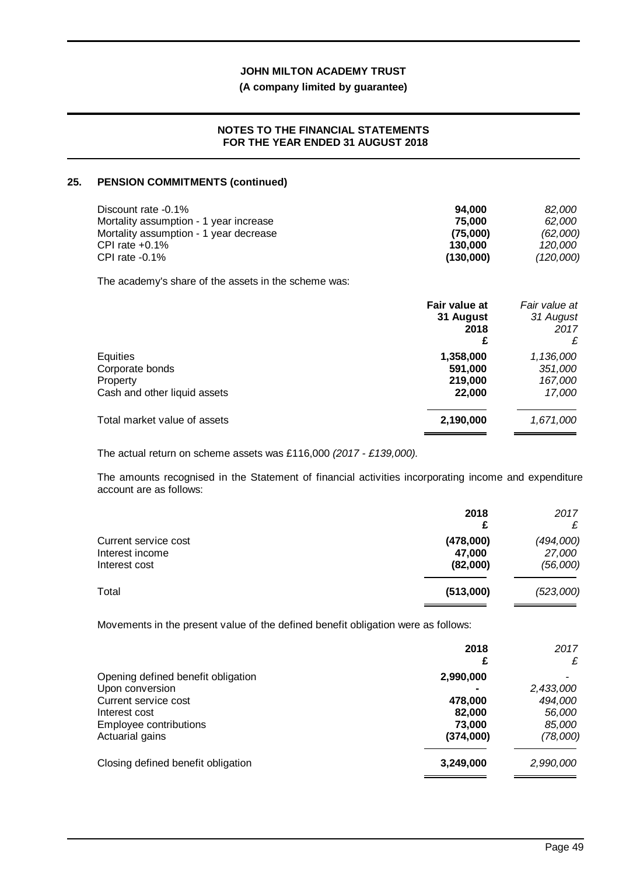### **(A company limited by guarantee)**

#### **NOTES TO THE FINANCIAL STATEMENTS FOR THE YEAR ENDED 31 AUGUST 2018**

## **25. PENSION COMMITMENTS (continued)**

| Discount rate -0.1%                    | 94.000    | 82.000         |
|----------------------------------------|-----------|----------------|
| Mortality assumption - 1 year increase | 75.000    | 62.000         |
| Mortality assumption - 1 year decrease | (75.000)  | (62,000)       |
| CPI rate $+0.1\%$                      | 130.000   | <i>120.000</i> |
| CPI rate $-0.1\%$                      | (130,000) | (120,000)      |

The academy's share of the assets in the scheme was:

|                                                                         | Fair value at<br>31 August<br>2018<br>£   | Fair value at<br>31 August<br>2017<br>£   |
|-------------------------------------------------------------------------|-------------------------------------------|-------------------------------------------|
| Equities<br>Corporate bonds<br>Property<br>Cash and other liquid assets | 1,358,000<br>591,000<br>219,000<br>22,000 | 1,136,000<br>351,000<br>167,000<br>17,000 |
| Total market value of assets                                            | 2,190,000                                 | 1,671,000                                 |

The actual return on scheme assets was £116,000 *(2017 - £139,000).*

The amounts recognised in the Statement of financial activities incorporating income and expenditure account are as follows:

|                                                          | 2018                            | 2017                            |
|----------------------------------------------------------|---------------------------------|---------------------------------|
| Current service cost<br>Interest income<br>Interest cost | (478,000)<br>47.000<br>(82,000) | (494,000)<br>27,000<br>(56,000) |
| Total                                                    | (513,000)                       | (523,000)                       |

Movements in the present value of the defined benefit obligation were as follows:

|                                                                                                                                             | 2018                                                  | 2017<br>£                                            |
|---------------------------------------------------------------------------------------------------------------------------------------------|-------------------------------------------------------|------------------------------------------------------|
| Opening defined benefit obligation<br>Upon conversion<br>Current service cost<br>Interest cost<br>Employee contributions<br>Actuarial gains | 2,990,000<br>478,000<br>82,000<br>73,000<br>(374,000) | 2,433,000<br>494,000<br>56,000<br>85,000<br>(78,000) |
| Closing defined benefit obligation                                                                                                          | 3,249,000                                             | 2,990,000                                            |